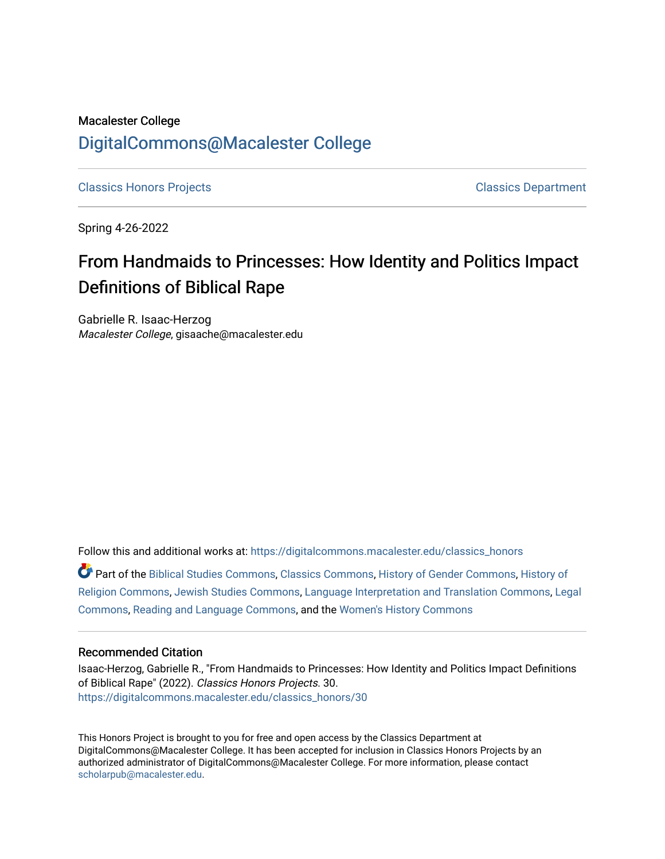# Macalester College [DigitalCommons@Macalester College](https://digitalcommons.macalester.edu/)

[Classics Honors Projects](https://digitalcommons.macalester.edu/classics_honors) [Classics Department](https://digitalcommons.macalester.edu/classics) 

Spring 4-26-2022

# From Handmaids to Princesses: How Identity and Politics Impact Definitions of Biblical Rape

Gabrielle R. Isaac-Herzog Macalester College, gisaache@macalester.edu

Follow this and additional works at: [https://digitalcommons.macalester.edu/classics\\_honors](https://digitalcommons.macalester.edu/classics_honors?utm_source=digitalcommons.macalester.edu%2Fclassics_honors%2F30&utm_medium=PDF&utm_campaign=PDFCoverPages) 

Part of the [Biblical Studies Commons,](https://network.bepress.com/hgg/discipline/539?utm_source=digitalcommons.macalester.edu%2Fclassics_honors%2F30&utm_medium=PDF&utm_campaign=PDFCoverPages) [Classics Commons](https://network.bepress.com/hgg/discipline/446?utm_source=digitalcommons.macalester.edu%2Fclassics_honors%2F30&utm_medium=PDF&utm_campaign=PDFCoverPages), [History of Gender Commons](https://network.bepress.com/hgg/discipline/498?utm_source=digitalcommons.macalester.edu%2Fclassics_honors%2F30&utm_medium=PDF&utm_campaign=PDFCoverPages), [History of](https://network.bepress.com/hgg/discipline/499?utm_source=digitalcommons.macalester.edu%2Fclassics_honors%2F30&utm_medium=PDF&utm_campaign=PDFCoverPages) [Religion Commons](https://network.bepress.com/hgg/discipline/499?utm_source=digitalcommons.macalester.edu%2Fclassics_honors%2F30&utm_medium=PDF&utm_campaign=PDFCoverPages), [Jewish Studies Commons](https://network.bepress.com/hgg/discipline/479?utm_source=digitalcommons.macalester.edu%2Fclassics_honors%2F30&utm_medium=PDF&utm_campaign=PDFCoverPages), [Language Interpretation and Translation Commons,](https://network.bepress.com/hgg/discipline/1391?utm_source=digitalcommons.macalester.edu%2Fclassics_honors%2F30&utm_medium=PDF&utm_campaign=PDFCoverPages) [Legal](https://network.bepress.com/hgg/discipline/502?utm_source=digitalcommons.macalester.edu%2Fclassics_honors%2F30&utm_medium=PDF&utm_campaign=PDFCoverPages) [Commons](https://network.bepress.com/hgg/discipline/502?utm_source=digitalcommons.macalester.edu%2Fclassics_honors%2F30&utm_medium=PDF&utm_campaign=PDFCoverPages), [Reading and Language Commons,](https://network.bepress.com/hgg/discipline/1037?utm_source=digitalcommons.macalester.edu%2Fclassics_honors%2F30&utm_medium=PDF&utm_campaign=PDFCoverPages) and the [Women's History Commons](https://network.bepress.com/hgg/discipline/507?utm_source=digitalcommons.macalester.edu%2Fclassics_honors%2F30&utm_medium=PDF&utm_campaign=PDFCoverPages) 

#### Recommended Citation

Isaac-Herzog, Gabrielle R., "From Handmaids to Princesses: How Identity and Politics Impact Definitions of Biblical Rape" (2022). Classics Honors Projects. 30. [https://digitalcommons.macalester.edu/classics\\_honors/30](https://digitalcommons.macalester.edu/classics_honors/30?utm_source=digitalcommons.macalester.edu%2Fclassics_honors%2F30&utm_medium=PDF&utm_campaign=PDFCoverPages)

This Honors Project is brought to you for free and open access by the Classics Department at DigitalCommons@Macalester College. It has been accepted for inclusion in Classics Honors Projects by an authorized administrator of DigitalCommons@Macalester College. For more information, please contact [scholarpub@macalester.edu](mailto:scholarpub@macalester.edu).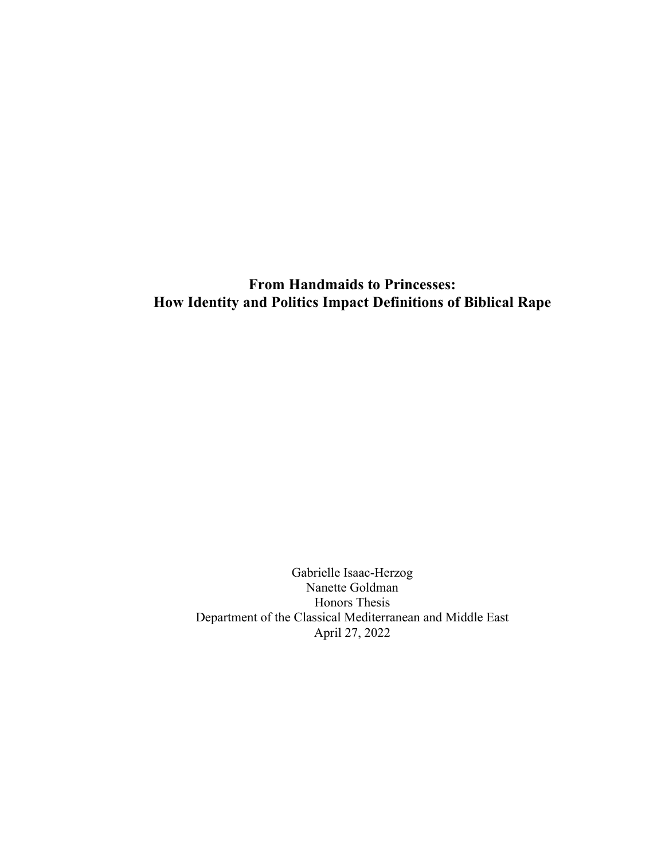**From Handmaids to Princesses: How Identity and Politics Impact Definitions of Biblical Rape**

> Gabrielle Isaac-Herzog Nanette Goldman Honors Thesis Department of the Classical Mediterranean and Middle East April 27, 2022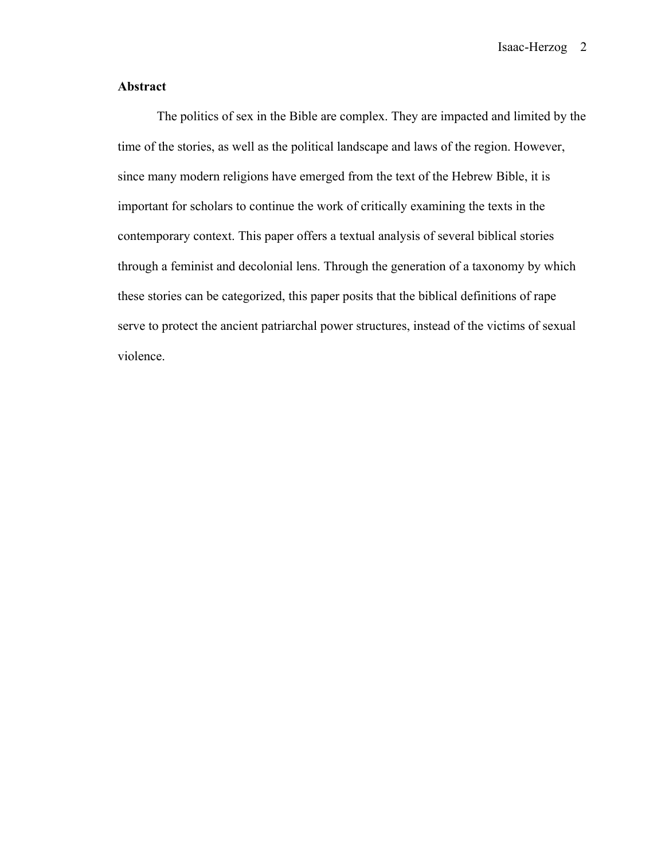Isaac-Herzog 2

## **Abstract**

The politics of sex in the Bible are complex. They are impacted and limited by the time of the stories, as well as the political landscape and laws of the region. However, since many modern religions have emerged from the text of the Hebrew Bible, it is important for scholars to continue the work of critically examining the texts in the contemporary context. This paper offers a textual analysis of several biblical stories through a feminist and decolonial lens. Through the generation of a taxonomy by which these stories can be categorized, this paper posits that the biblical definitions of rape serve to protect the ancient patriarchal power structures, instead of the victims of sexual violence.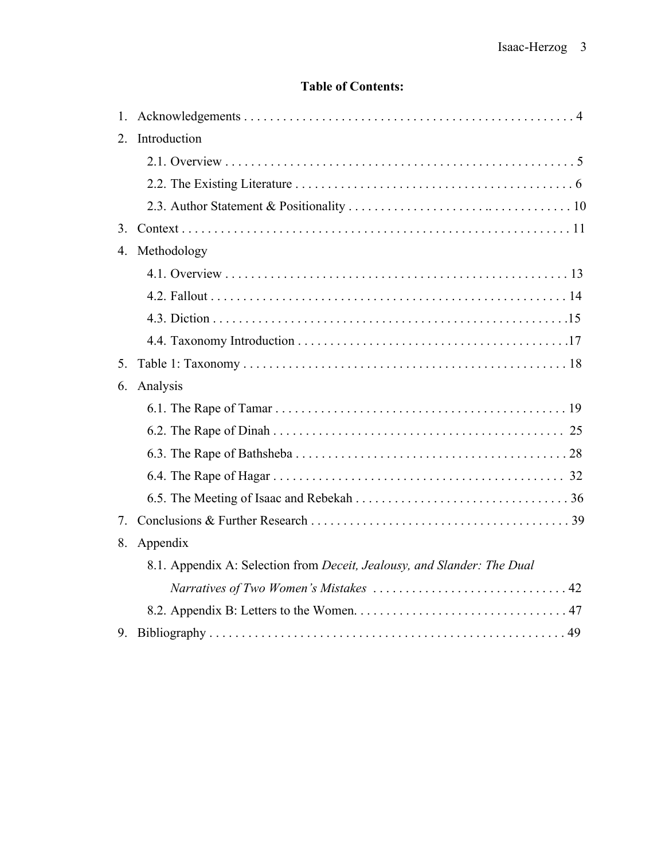# **Table of Contents:**

| 1.               |                                                                         |
|------------------|-------------------------------------------------------------------------|
| 2.               | Introduction                                                            |
|                  |                                                                         |
|                  |                                                                         |
|                  |                                                                         |
| 3.               |                                                                         |
| $\overline{4}$ . | Methodology                                                             |
|                  |                                                                         |
|                  |                                                                         |
|                  |                                                                         |
|                  |                                                                         |
| 5.               |                                                                         |
| 6.               | Analysis                                                                |
|                  |                                                                         |
|                  |                                                                         |
|                  |                                                                         |
|                  |                                                                         |
|                  |                                                                         |
| 7.               |                                                                         |
| 8.               | Appendix                                                                |
|                  | 8.1. Appendix A: Selection from Deceit, Jealousy, and Slander: The Dual |
|                  |                                                                         |
|                  |                                                                         |
| 9.               |                                                                         |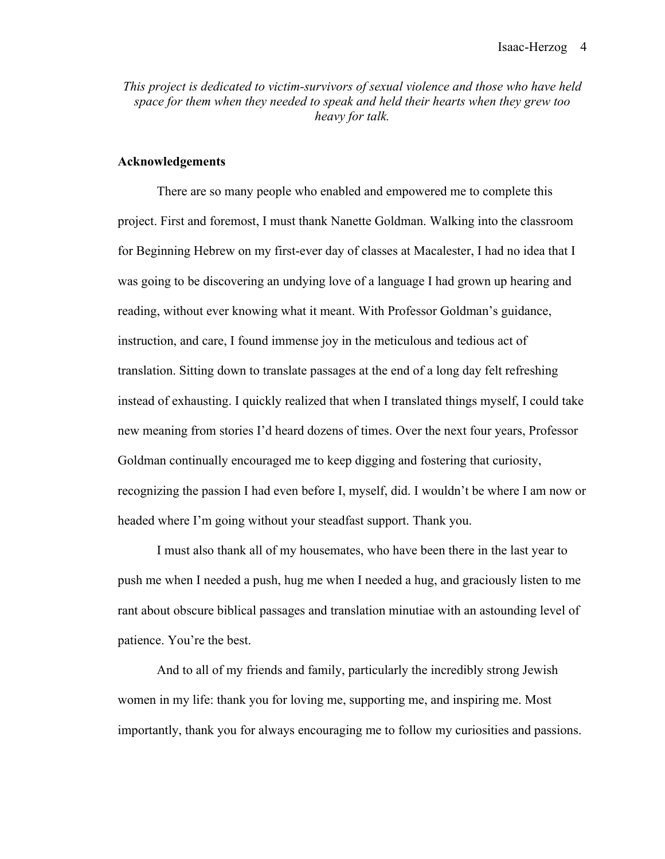*This project is dedicated to victim-survivors of sexual violence and those who have held space for them when they needed to speak and held their hearts when they grew too heavy for talk.*

#### **Acknowledgements**

There are so many people who enabled and empowered me to complete this project. First and foremost, I must thank Nanette Goldman. Walking into the classroom for Beginning Hebrew on my first-ever day of classes at Macalester, I had no idea that I was going to be discovering an undying love of a language I had grown up hearing and reading, without ever knowing what it meant. With Professor Goldman's guidance, instruction, and care, I found immense joy in the meticulous and tedious act of translation. Sitting down to translate passages at the end of a long day felt refreshing instead of exhausting. I quickly realized that when I translated things myself, I could take new meaning from stories I'd heard dozens of times. Over the next four years, Professor Goldman continually encouraged me to keep digging and fostering that curiosity, recognizing the passion I had even before I, myself, did. I wouldn't be where I am now or headed where I'm going without your steadfast support. Thank you.

I must also thank all of my housemates, who have been there in the last year to push me when I needed a push, hug me when I needed a hug, and graciously listen to me rant about obscure biblical passages and translation minutiae with an astounding level of patience. You're the best.

And to all of my friends and family, particularly the incredibly strong Jewish women in my life: thank you for loving me, supporting me, and inspiring me. Most importantly, thank you for always encouraging me to follow my curiosities and passions.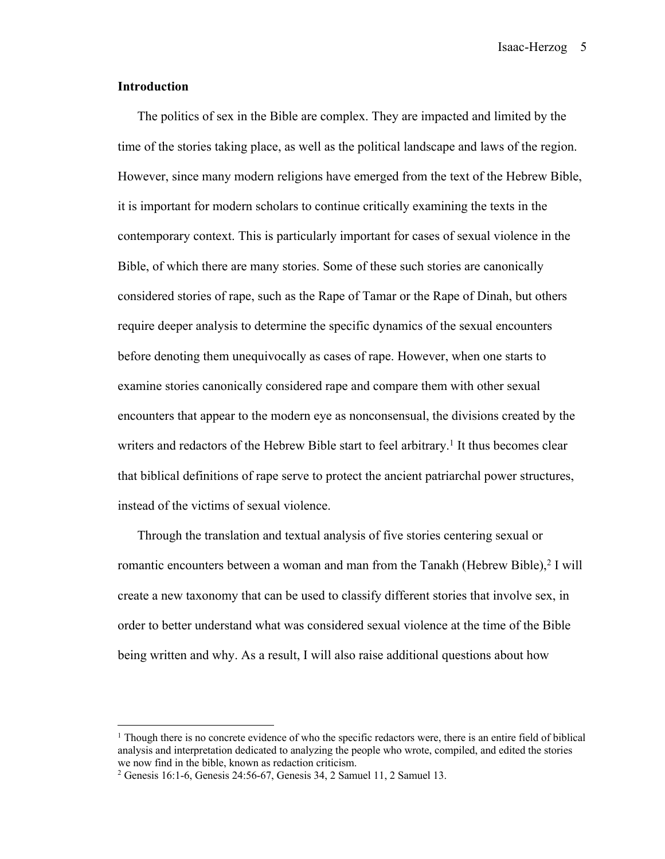Isaac-Herzog 5

#### **Introduction**

The politics of sex in the Bible are complex. They are impacted and limited by the time of the stories taking place, as well as the political landscape and laws of the region. However, since many modern religions have emerged from the text of the Hebrew Bible, it is important for modern scholars to continue critically examining the texts in the contemporary context. This is particularly important for cases of sexual violence in the Bible, of which there are many stories. Some of these such stories are canonically considered stories of rape, such as the Rape of Tamar or the Rape of Dinah, but others require deeper analysis to determine the specific dynamics of the sexual encounters before denoting them unequivocally as cases of rape. However, when one starts to examine stories canonically considered rape and compare them with other sexual encounters that appear to the modern eye as nonconsensual, the divisions created by the writers and redactors of the Hebrew Bible start to feel arbitrary.<sup>1</sup> It thus becomes clear that biblical definitions of rape serve to protect the ancient patriarchal power structures, instead of the victims of sexual violence.

Through the translation and textual analysis of five stories centering sexual or romantic encounters between a woman and man from the Tanakh (Hebrew Bible), <sup>2</sup> I will create a new taxonomy that can be used to classify different stories that involve sex, in order to better understand what was considered sexual violence at the time of the Bible being written and why. As a result, I will also raise additional questions about how

<sup>&</sup>lt;sup>1</sup> Though there is no concrete evidence of who the specific redactors were, there is an entire field of biblical analysis and interpretation dedicated to analyzing the people who wrote, compiled, and edited the stories we now find in the bible, known as redaction criticism.

<sup>2</sup> Genesis 16:1-6, Genesis 24:56-67, Genesis 34, 2 Samuel 11, 2 Samuel 13.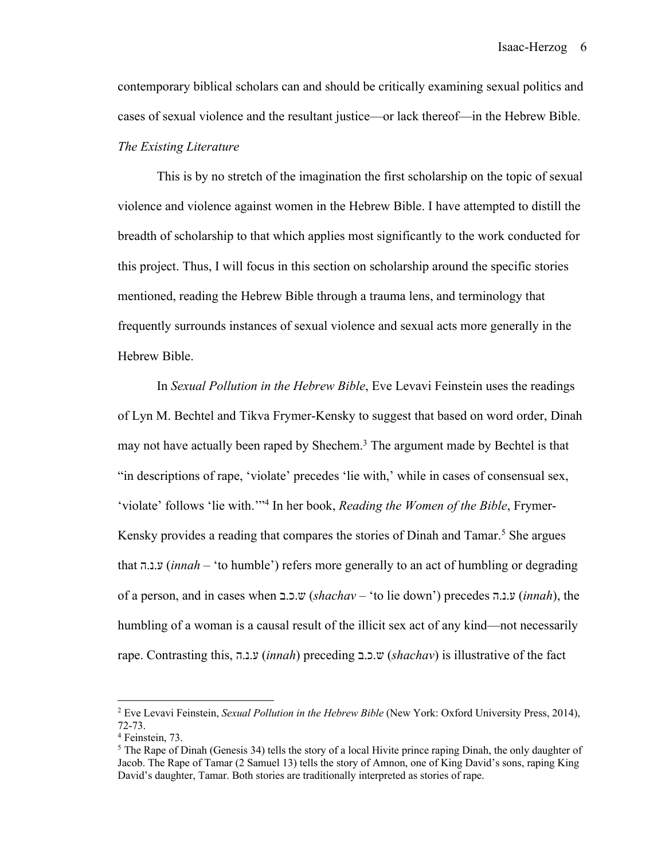contemporary biblical scholars can and should be critically examining sexual politics and cases of sexual violence and the resultant justice—or lack thereof—in the Hebrew Bible. *The Existing Literature*

This is by no stretch of the imagination the first scholarship on the topic of sexual violence and violence against women in the Hebrew Bible. I have attempted to distill the breadth of scholarship to that which applies most significantly to the work conducted for this project. Thus, I will focus in this section on scholarship around the specific stories mentioned, reading the Hebrew Bible through a trauma lens, and terminology that frequently surrounds instances of sexual violence and sexual acts more generally in the Hebrew Bible.

In *Sexual Pollution in the Hebrew Bible*, Eve Levavi Feinstein uses the readings of Lyn M. Bechtel and Tikva Frymer-Kensky to suggest that based on word order, Dinah may not have actually been raped by Shechem.<sup>3</sup> The argument made by Bechtel is that "in descriptions of rape, 'violate' precedes 'lie with,' while in cases of consensual sex, 'violate' follows 'lie with.'"4 In her book, *Reading the Women of the Bible*, Frymer-Kensky provides a reading that compares the stories of Dinah and Tamar. <sup>5</sup> She argues that ע.נ.ה) *innah* – 'to humble') refers more generally to an act of humbling or degrading of a person, and in cases when ש.כ.ב) *shachav* – 'to lie down') precedes ע.נ.ה) *innah*), the humbling of a woman is a causal result of the illicit sex act of any kind—not necessarily rape. Contrasting this, ע.נ.ה) *innah*) preceding ש.כ.ב) *shachav*) is illustrative of the fact

<sup>2</sup> Eve Levavi Feinstein, *Sexual Pollution in the Hebrew Bible* (New York: Oxford University Press, 2014), 72-73.

<sup>4</sup> Feinstein, 73.

 $5$  The Rape of Dinah (Genesis 34) tells the story of a local Hivite prince raping Dinah, the only daughter of Jacob. The Rape of Tamar (2 Samuel 13) tells the story of Amnon, one of King David's sons, raping King David's daughter, Tamar. Both stories are traditionally interpreted as stories of rape.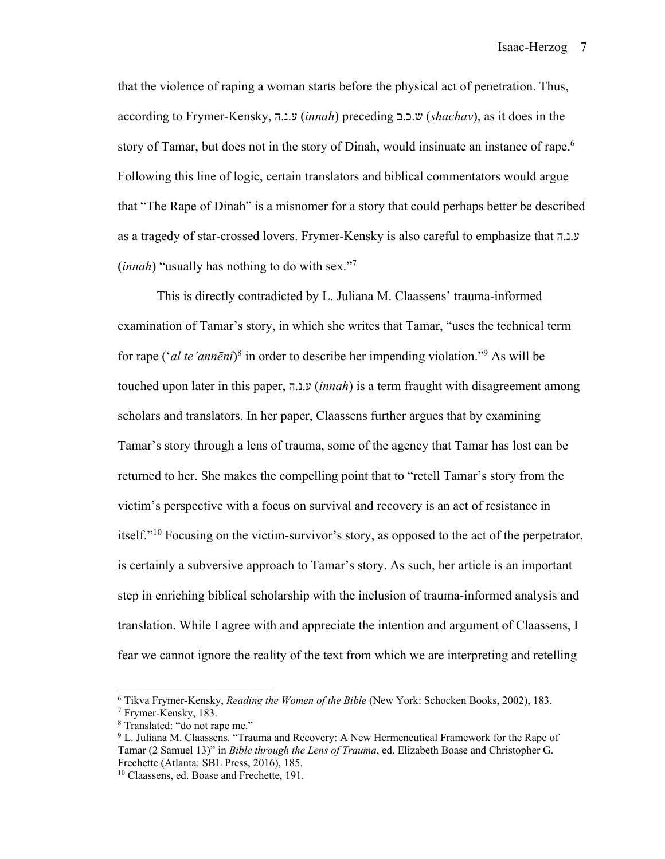that the violence of raping a woman starts before the physical act of penetration. Thus, according to Frymer-Kensky, ע.נ.ה) *innah*) preceding ש.כ.ב) *shachav*), as it does in the story of Tamar, but does not in the story of Dinah, would insinuate an instance of rape.<sup>6</sup> Following this line of logic, certain translators and biblical commentators would argue that "The Rape of Dinah" is a misnomer for a story that could perhaps better be described as a tragedy of star-crossed lovers. Frymer-Kensky is also careful to emphasize that ע.נ.ה (*innah*) "usually has nothing to do with sex."7

This is directly contradicted by L. Juliana M. Claassens' trauma-informed examination of Tamar's story, in which she writes that Tamar, "uses the technical term for rape ('*al te'annēnî*) <sup>8</sup> in order to describe her impending violation."9 As will be touched upon later in this paper, ע.נ.ה) *innah*) is a term fraught with disagreement among scholars and translators. In her paper, Claassens further argues that by examining Tamar's story through a lens of trauma, some of the agency that Tamar has lost can be returned to her. She makes the compelling point that to "retell Tamar's story from the victim's perspective with a focus on survival and recovery is an act of resistance in itself."10 Focusing on the victim-survivor's story, as opposed to the act of the perpetrator, is certainly a subversive approach to Tamar's story. As such, her article is an important step in enriching biblical scholarship with the inclusion of trauma-informed analysis and translation. While I agree with and appreciate the intention and argument of Claassens, I fear we cannot ignore the reality of the text from which we are interpreting and retelling

<sup>6</sup> Tikva Frymer-Kensky, *Reading the Women of the Bible* (New York: Schocken Books, 2002), 183.

<sup>7</sup> Frymer-Kensky, 183.

<sup>8</sup> Translated: "do not rape me."

<sup>9</sup> L. Juliana M. Claassens. "Trauma and Recovery: A New Hermeneutical Framework for the Rape of Tamar (2 Samuel 13)" in *Bible through the Lens of Trauma*, ed. Elizabeth Boase and Christopher G. Frechette (Atlanta: SBL Press, 2016), 185.

<sup>10</sup> Claassens, ed. Boase and Frechette, 191.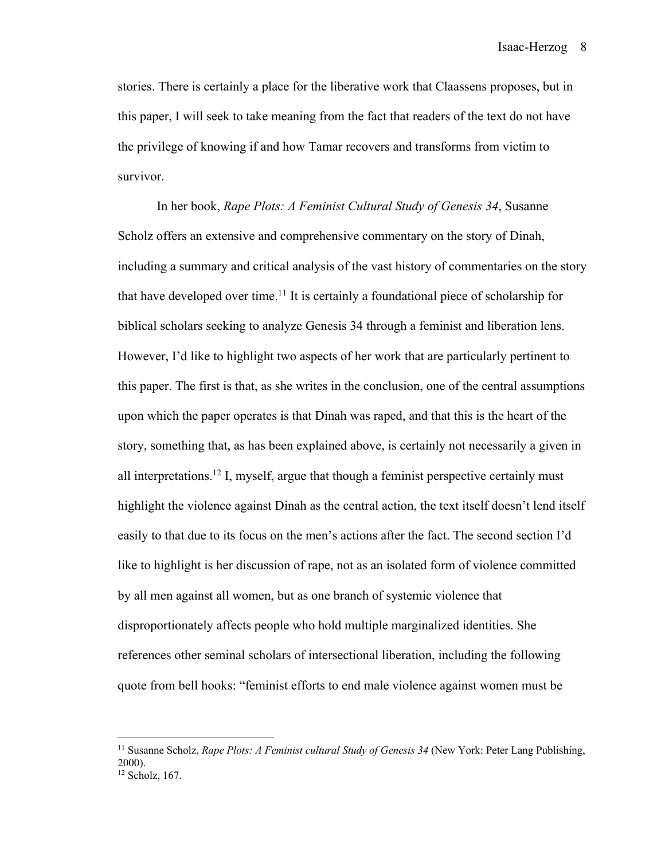Isaac-Herzog 8

stories. There is certainly a place for the liberative work that Claassens proposes, but in this paper, I will seek to take meaning from the fact that readers of the text do not have the privilege of knowing if and how Tamar recovers and transforms from victim to survivor.

In her book, *Rape Plots: A Feminist Cultural Study of Genesis 34*, Susanne Scholz offers an extensive and comprehensive commentary on the story of Dinah, including a summary and critical analysis of the vast history of commentaries on the story that have developed over time.<sup>11</sup> It is certainly a foundational piece of scholarship for biblical scholars seeking to analyze Genesis 34 through a feminist and liberation lens. However, I'd like to highlight two aspects of her work that are particularly pertinent to this paper. The first is that, as she writes in the conclusion, one of the central assumptions upon which the paper operates is that Dinah was raped, and that this is the heart of the story, something that, as has been explained above, is certainly not necessarily a given in all interpretations.<sup>12</sup> I, myself, argue that though a feminist perspective certainly must highlight the violence against Dinah as the central action, the text itself doesn't lend itself easily to that due to its focus on the men's actions after the fact. The second section I'd like to highlight is her discussion of rape, not as an isolated form of violence committed by all men against all women, but as one branch of systemic violence that disproportionately affects people who hold multiple marginalized identities. She references other seminal scholars of intersectional liberation, including the following quote from bell hooks: "feminist efforts to end male violence against women must be

<sup>&</sup>lt;sup>11</sup> Susanne Scholz, *Rape Plots: A Feminist cultural Study of Genesis 34* (New York: Peter Lang Publishing, 2000). <sup>12</sup> Scholz, 167.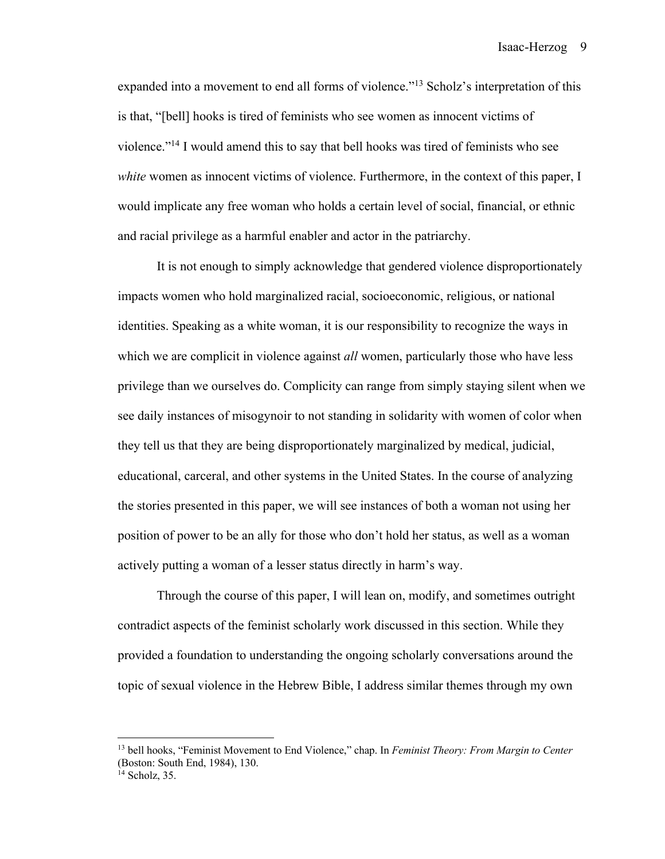expanded into a movement to end all forms of violence."<sup>13</sup> Scholz's interpretation of this is that, "[bell] hooks is tired of feminists who see women as innocent victims of violence."14 I would amend this to say that bell hooks was tired of feminists who see *white* women as innocent victims of violence. Furthermore, in the context of this paper, I would implicate any free woman who holds a certain level of social, financial, or ethnic and racial privilege as a harmful enabler and actor in the patriarchy.

It is not enough to simply acknowledge that gendered violence disproportionately impacts women who hold marginalized racial, socioeconomic, religious, or national identities. Speaking as a white woman, it is our responsibility to recognize the ways in which we are complicit in violence against *all* women, particularly those who have less privilege than we ourselves do. Complicity can range from simply staying silent when we see daily instances of misogynoir to not standing in solidarity with women of color when they tell us that they are being disproportionately marginalized by medical, judicial, educational, carceral, and other systems in the United States. In the course of analyzing the stories presented in this paper, we will see instances of both a woman not using her position of power to be an ally for those who don't hold her status, as well as a woman actively putting a woman of a lesser status directly in harm's way.

Through the course of this paper, I will lean on, modify, and sometimes outright contradict aspects of the feminist scholarly work discussed in this section. While they provided a foundation to understanding the ongoing scholarly conversations around the topic of sexual violence in the Hebrew Bible, I address similar themes through my own

<sup>13</sup> bell hooks, "Feminist Movement to End Violence," chap. In *Feminist Theory: From Margin to Center* (Boston: South End, 1984), 130.

<sup>&</sup>lt;sup>14</sup> Scholz, 35.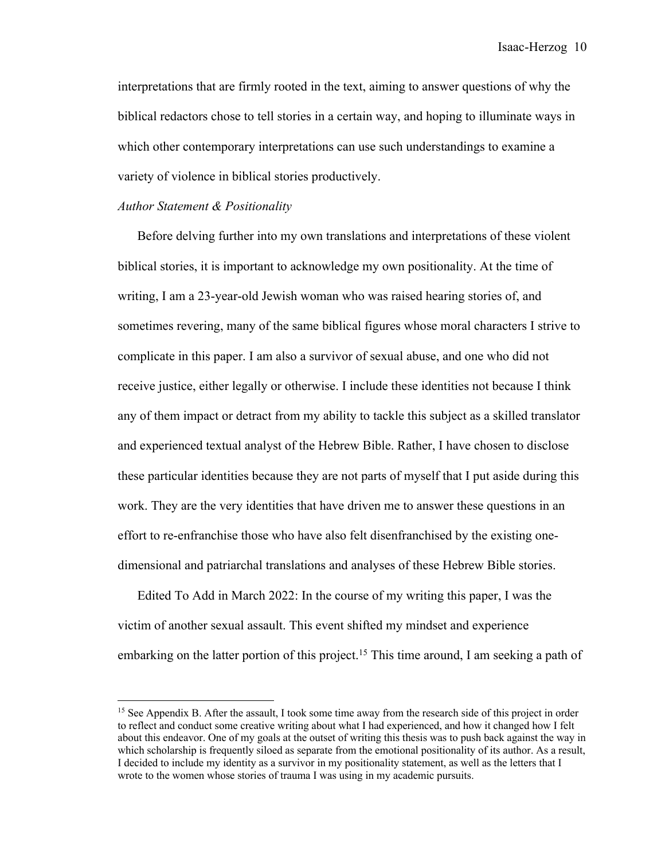Isaac-Herzog 10

interpretations that are firmly rooted in the text, aiming to answer questions of why the biblical redactors chose to tell stories in a certain way, and hoping to illuminate ways in which other contemporary interpretations can use such understandings to examine a variety of violence in biblical stories productively.

#### *Author Statement & Positionality*

Before delving further into my own translations and interpretations of these violent biblical stories, it is important to acknowledge my own positionality. At the time of writing, I am a 23-year-old Jewish woman who was raised hearing stories of, and sometimes revering, many of the same biblical figures whose moral characters I strive to complicate in this paper. I am also a survivor of sexual abuse, and one who did not receive justice, either legally or otherwise. I include these identities not because I think any of them impact or detract from my ability to tackle this subject as a skilled translator and experienced textual analyst of the Hebrew Bible. Rather, I have chosen to disclose these particular identities because they are not parts of myself that I put aside during this work. They are the very identities that have driven me to answer these questions in an effort to re-enfranchise those who have also felt disenfranchised by the existing onedimensional and patriarchal translations and analyses of these Hebrew Bible stories.

Edited To Add in March 2022: In the course of my writing this paper, I was the victim of another sexual assault. This event shifted my mindset and experience embarking on the latter portion of this project.<sup>15</sup> This time around, I am seeking a path of

<sup>&</sup>lt;sup>15</sup> See Appendix B. After the assault, I took some time away from the research side of this project in order to reflect and conduct some creative writing about what I had experienced, and how it changed how I felt about this endeavor. One of my goals at the outset of writing this thesis was to push back against the way in which scholarship is frequently siloed as separate from the emotional positionality of its author. As a result, I decided to include my identity as a survivor in my positionality statement, as well as the letters that I wrote to the women whose stories of trauma I was using in my academic pursuits.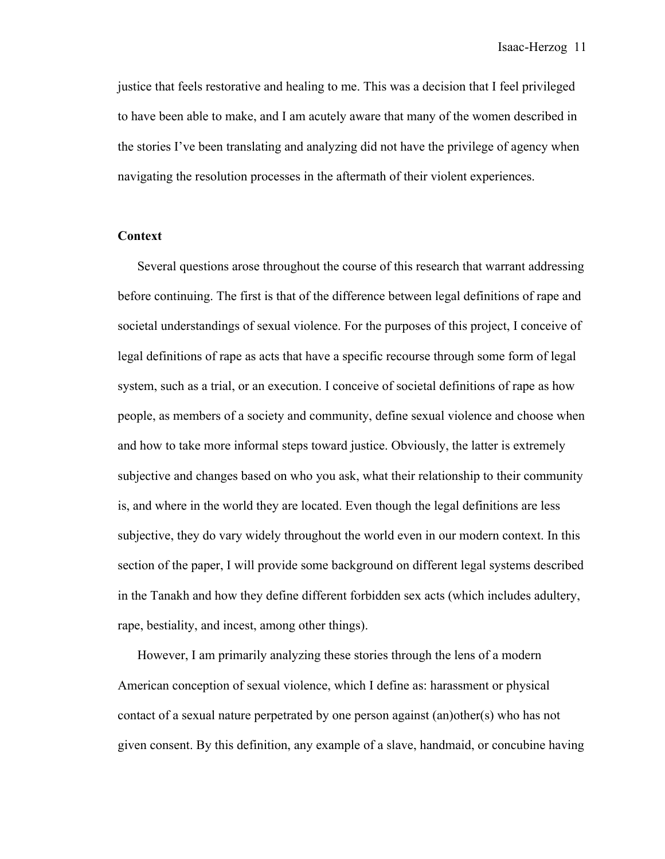justice that feels restorative and healing to me. This was a decision that I feel privileged to have been able to make, and I am acutely aware that many of the women described in the stories I've been translating and analyzing did not have the privilege of agency when navigating the resolution processes in the aftermath of their violent experiences.

#### **Context**

Several questions arose throughout the course of this research that warrant addressing before continuing. The first is that of the difference between legal definitions of rape and societal understandings of sexual violence. For the purposes of this project, I conceive of legal definitions of rape as acts that have a specific recourse through some form of legal system, such as a trial, or an execution. I conceive of societal definitions of rape as how people, as members of a society and community, define sexual violence and choose when and how to take more informal steps toward justice. Obviously, the latter is extremely subjective and changes based on who you ask, what their relationship to their community is, and where in the world they are located. Even though the legal definitions are less subjective, they do vary widely throughout the world even in our modern context. In this section of the paper, I will provide some background on different legal systems described in the Tanakh and how they define different forbidden sex acts (which includes adultery, rape, bestiality, and incest, among other things).

However, I am primarily analyzing these stories through the lens of a modern American conception of sexual violence, which I define as: harassment or physical contact of a sexual nature perpetrated by one person against (an)other(s) who has not given consent. By this definition, any example of a slave, handmaid, or concubine having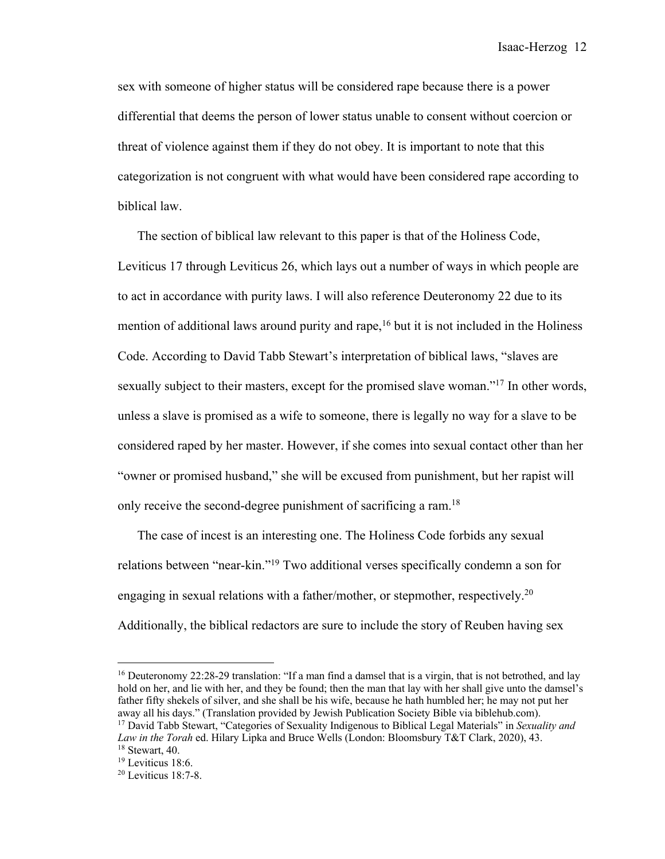sex with someone of higher status will be considered rape because there is a power differential that deems the person of lower status unable to consent without coercion or threat of violence against them if they do not obey. It is important to note that this categorization is not congruent with what would have been considered rape according to biblical law.

The section of biblical law relevant to this paper is that of the Holiness Code, Leviticus 17 through Leviticus 26, which lays out a number of ways in which people are to act in accordance with purity laws. I will also reference Deuteronomy 22 due to its mention of additional laws around purity and rape,  $16$  but it is not included in the Holiness Code. According to David Tabb Stewart's interpretation of biblical laws, "slaves are sexually subject to their masters, except for the promised slave woman."<sup>17</sup> In other words, unless a slave is promised as a wife to someone, there is legally no way for a slave to be considered raped by her master. However, if she comes into sexual contact other than her "owner or promised husband," she will be excused from punishment, but her rapist will only receive the second-degree punishment of sacrificing a ram.<sup>18</sup>

The case of incest is an interesting one. The Holiness Code forbids any sexual relations between "near-kin."19 Two additional verses specifically condemn a son for engaging in sexual relations with a father/mother, or stepmother, respectively.<sup>20</sup> Additionally, the biblical redactors are sure to include the story of Reuben having sex

<sup>16</sup> Deuteronomy 22:28-29 translation: "If a man find a damsel that is a virgin, that is not betrothed, and lay hold on her, and lie with her, and they be found; then the man that lay with her shall give unto the damsel's father fifty shekels of silver, and she shall be his wife, because he hath humbled her; he may not put her away all his days." (Translation provided by Jewish Publication Society Bible via biblehub.com).

<sup>17</sup> David Tabb Stewart, "Categories of Sexuality Indigenous to Biblical Legal Materials" in *Sexuality and Law in the Torah* ed. Hilary Lipka and Bruce Wells (London: Bloomsbury T&T Clark, 2020), 43. <sup>18</sup> Stewart, 40.

<sup>&</sup>lt;sup>19</sup> Leviticus 18:6.

<sup>20</sup> Leviticus 18:7-8.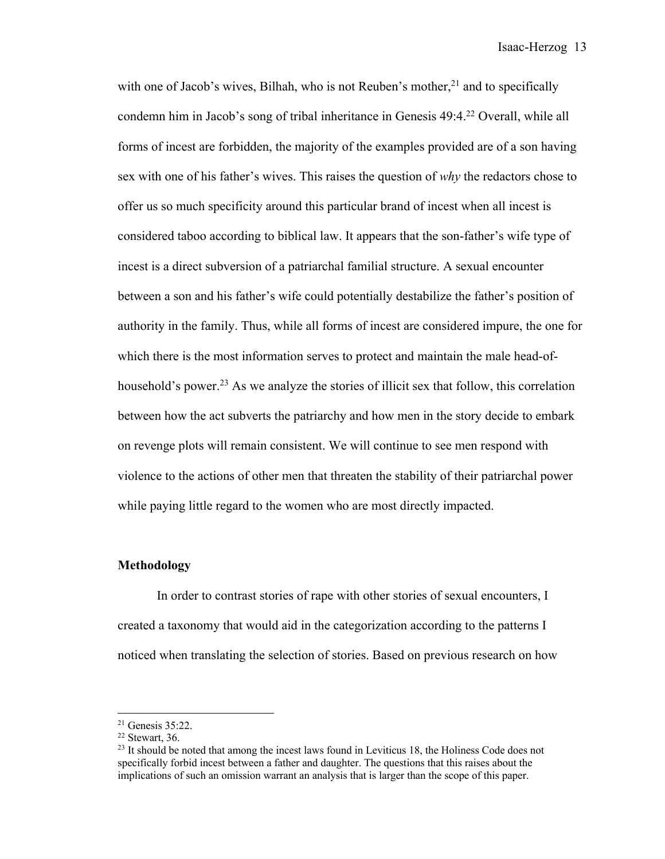with one of Jacob's wives, Bilhah, who is not Reuben's mother,<sup>21</sup> and to specifically condemn him in Jacob's song of tribal inheritance in Genesis 49:4.22 Overall, while all forms of incest are forbidden, the majority of the examples provided are of a son having sex with one of his father's wives. This raises the question of *why* the redactors chose to offer us so much specificity around this particular brand of incest when all incest is considered taboo according to biblical law. It appears that the son-father's wife type of incest is a direct subversion of a patriarchal familial structure. A sexual encounter between a son and his father's wife could potentially destabilize the father's position of authority in the family. Thus, while all forms of incest are considered impure, the one for which there is the most information serves to protect and maintain the male head-ofhousehold's power.<sup>23</sup> As we analyze the stories of illicit sex that follow, this correlation between how the act subverts the patriarchy and how men in the story decide to embark on revenge plots will remain consistent. We will continue to see men respond with violence to the actions of other men that threaten the stability of their patriarchal power while paying little regard to the women who are most directly impacted.

#### **Methodology**

In order to contrast stories of rape with other stories of sexual encounters, I created a taxonomy that would aid in the categorization according to the patterns I noticed when translating the selection of stories. Based on previous research on how

 $21$  Genesis 35:22.

 $22$  Stewart, 36.

 $^{23}$  It should be noted that among the incest laws found in Leviticus 18, the Holiness Code does not specifically forbid incest between a father and daughter. The questions that this raises about the implications of such an omission warrant an analysis that is larger than the scope of this paper.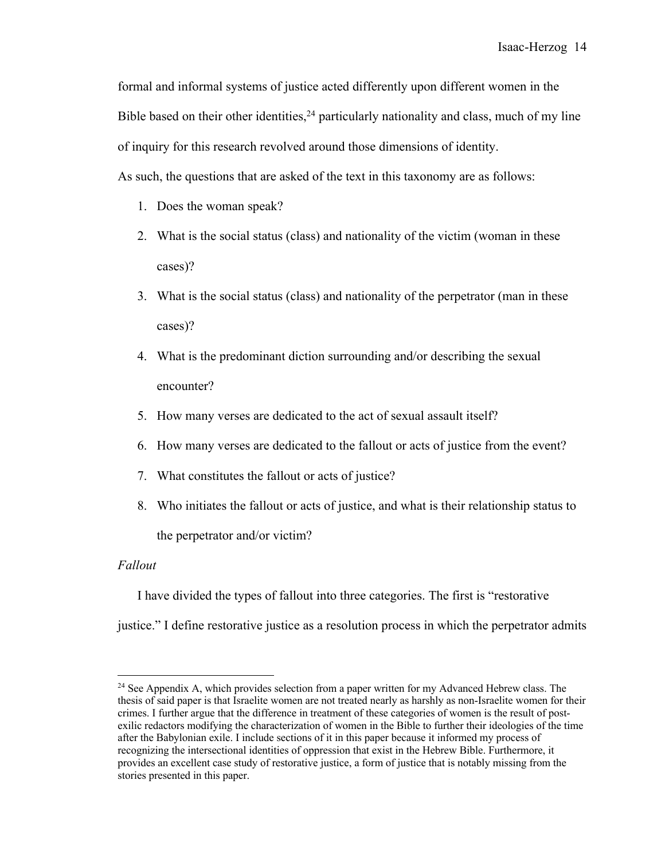formal and informal systems of justice acted differently upon different women in the Bible based on their other identities,  $24$  particularly nationality and class, much of my line of inquiry for this research revolved around those dimensions of identity.

As such, the questions that are asked of the text in this taxonomy are as follows:

- 1. Does the woman speak?
- 2. What is the social status (class) and nationality of the victim (woman in these cases)?
- 3. What is the social status (class) and nationality of the perpetrator (man in these cases)?
- 4. What is the predominant diction surrounding and/or describing the sexual encounter?
- 5. How many verses are dedicated to the act of sexual assault itself?
- 6. How many verses are dedicated to the fallout or acts of justice from the event?
- 7. What constitutes the fallout or acts of justice?
- 8. Who initiates the fallout or acts of justice, and what is their relationship status to the perpetrator and/or victim?

#### *Fallout*

I have divided the types of fallout into three categories. The first is "restorative justice." I define restorative justice as a resolution process in which the perpetrator admits

 $24$  See Appendix A, which provides selection from a paper written for my Advanced Hebrew class. The thesis of said paper is that Israelite women are not treated nearly as harshly as non-Israelite women for their crimes. I further argue that the difference in treatment of these categories of women is the result of postexilic redactors modifying the characterization of women in the Bible to further their ideologies of the time after the Babylonian exile. I include sections of it in this paper because it informed my process of recognizing the intersectional identities of oppression that exist in the Hebrew Bible. Furthermore, it provides an excellent case study of restorative justice, a form of justice that is notably missing from the stories presented in this paper.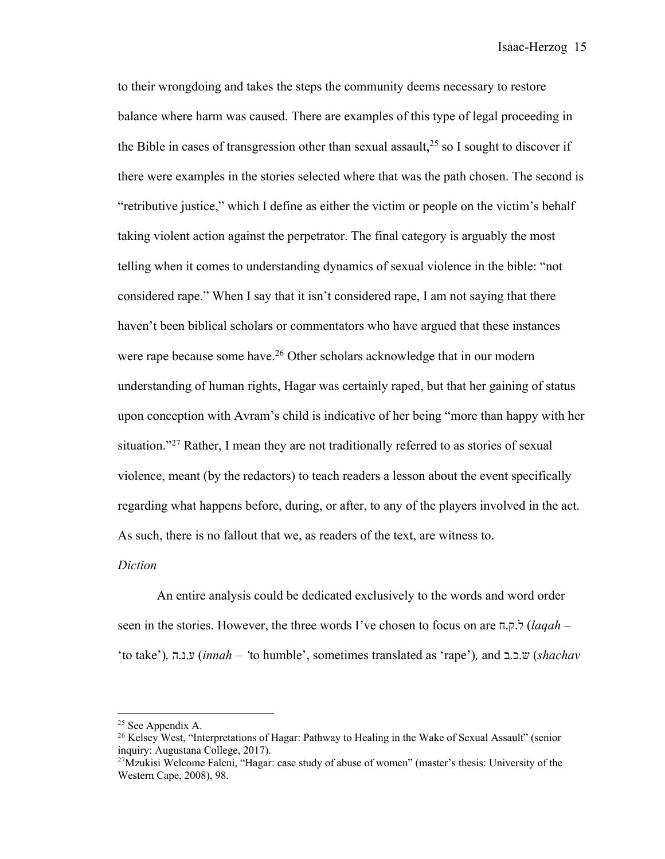to their wrongdoing and takes the steps the community deems necessary to restore balance where harm was caused. There are examples of this type of legal proceeding in the Bible in cases of transgression other than sexual assault,  $2<sup>5</sup>$  so I sought to discover if there were examples in the stories selected where that was the path chosen. The second is "retributive justice," which I define as either the victim or people on the victim's behalf taking violent action against the perpetrator. The final category is arguably the most telling when it comes to understanding dynamics of sexual violence in the bible: "not considered rape." When I say that it isn't considered rape, I am not saying that there haven't been biblical scholars or commentators who have argued that these instances were rape because some have.<sup>26</sup> Other scholars acknowledge that in our modern understanding of human rights, Hagar was certainly raped, but that her gaining of status upon conception with Avram's child is indicative of her being "more than happy with her situation."<sup>27</sup> Rather, I mean they are not traditionally referred to as stories of sexual violence, meant (by the redactors) to teach readers a lesson about the event specifically regarding what happens before, during, or after, to any of the players involved in the act. As such, there is no fallout that we, as readers of the text, are witness to.

#### *Diction*

An entire analysis could be dedicated exclusively to the words and word order seen in the stories. However, the three words I've chosen to focus on are ל.ק.ח) *laqah* – 'to take')*,* ע.נ.ה) *innah* – *'*to humble', sometimes translated as 'rape')*,* and ש.כ.ב) *shachav* 

<sup>25</sup> See Appendix A.

<sup>&</sup>lt;sup>26</sup> Kelsey West, "Interpretations of Hagar: Pathway to Healing in the Wake of Sexual Assault" (senior inquiry: Augustana College, 2017).

 $27$ Mzukisi Welcome Faleni, "Hagar: case study of abuse of women" (master's thesis: University of the Western Cape, 2008), 98.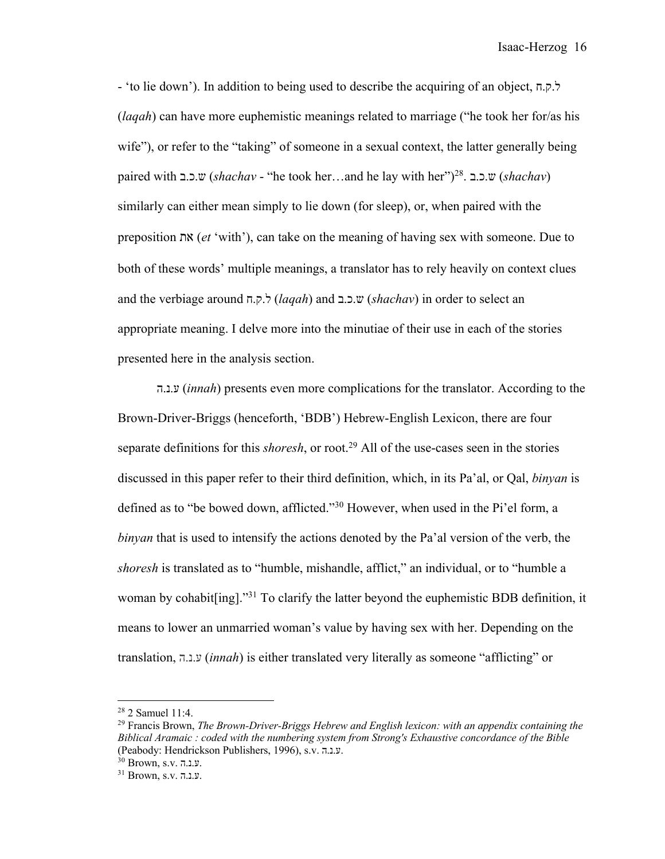Isaac-Herzog 16

- 'to lie down'). In addition to being used to describe the acquiring of an object, ל.ק.ח (*laqah*) can have more euphemistic meanings related to marriage ("he took her for/as his wife"), or refer to the "taking" of someone in a sexual context, the latter generally being paired with ש.כ.ב) *shachav* - "he took her…and he lay with her")28. ש.כ.ב) *shachav*) similarly can either mean simply to lie down (for sleep), or, when paired with the preposition תא) *et* 'with'), can take on the meaning of having sex with someone. Due to both of these words' multiple meanings, a translator has to rely heavily on context clues and the verbiage around ל.ק.ח) *laqah*) and ש.כ.ב) *shachav*) in order to select an appropriate meaning. I delve more into the minutiae of their use in each of the stories presented here in the analysis section.

ע.נ.ה) *innah*) presents even more complications for the translator. According to the Brown-Driver-Briggs (henceforth, 'BDB') Hebrew-English Lexicon, there are four separate definitions for this *shoresh*, or root. <sup>29</sup> All of the use-cases seen in the stories discussed in this paper refer to their third definition, which, in its Pa'al, or Qal, *binyan* is defined as to "be bowed down, afflicted."30 However, when used in the Pi'el form, a *binyan* that is used to intensify the actions denoted by the Pa'al version of the verb, the *shoresh* is translated as to "humble, mishandle, afflict," an individual, or to "humble a woman by cohabit[ing]."31 To clarify the latter beyond the euphemistic BDB definition, it means to lower an unmarried woman's value by having sex with her. Depending on the translation, ע.נ.ה) *innah*) is either translated very literally as someone "afflicting" or

<sup>28</sup> 2 Samuel 11:4.

<sup>29</sup> Francis Brown, *The Brown-Driver-Briggs Hebrew and English lexicon: with an appendix containing the Biblical Aramaic : coded with the numbering system from Strong's Exhaustive concordance of the Bible* (Peabody: Hendrickson Publishers, 1996), s.v. ע.נ.ה .

<sup>30</sup> Brown, s.v. ע.נ.ה .

<sup>31</sup> Brown, s.v. ע.נ.ה .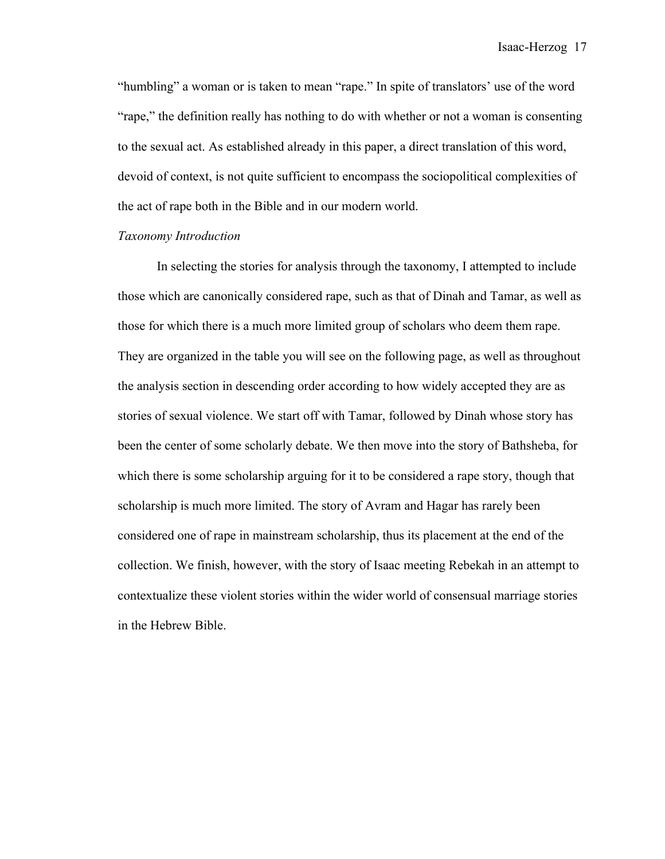"humbling" a woman or is taken to mean "rape." In spite of translators' use of the word "rape," the definition really has nothing to do with whether or not a woman is consenting to the sexual act. As established already in this paper, a direct translation of this word, devoid of context, is not quite sufficient to encompass the sociopolitical complexities of the act of rape both in the Bible and in our modern world.

#### *Taxonomy Introduction*

In selecting the stories for analysis through the taxonomy, I attempted to include those which are canonically considered rape, such as that of Dinah and Tamar, as well as those for which there is a much more limited group of scholars who deem them rape. They are organized in the table you will see on the following page, as well as throughout the analysis section in descending order according to how widely accepted they are as stories of sexual violence. We start off with Tamar, followed by Dinah whose story has been the center of some scholarly debate. We then move into the story of Bathsheba, for which there is some scholarship arguing for it to be considered a rape story, though that scholarship is much more limited. The story of Avram and Hagar has rarely been considered one of rape in mainstream scholarship, thus its placement at the end of the collection. We finish, however, with the story of Isaac meeting Rebekah in an attempt to contextualize these violent stories within the wider world of consensual marriage stories in the Hebrew Bible.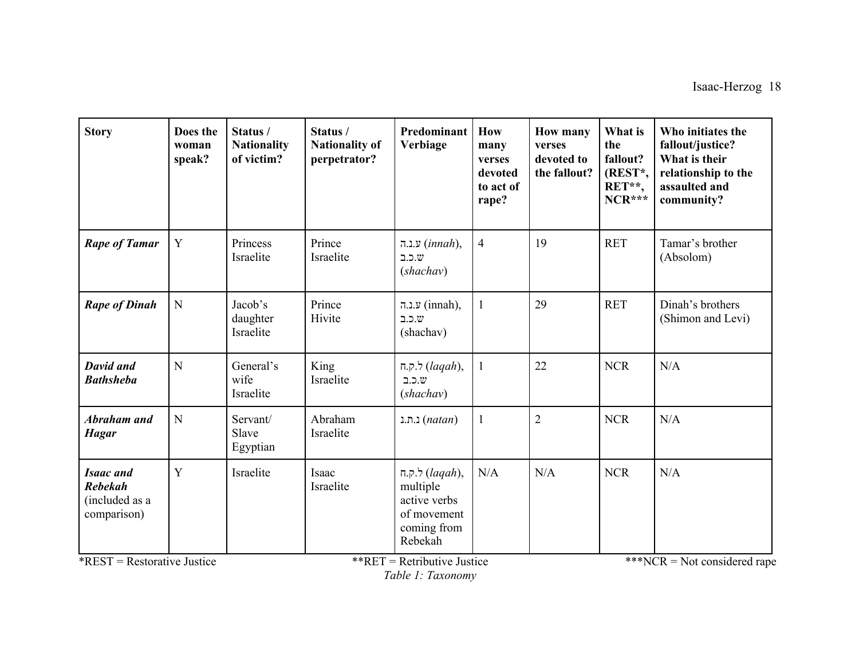| <b>Story</b>                                                                                          | Does the<br>woman<br>speak? | Status/<br><b>Nationality</b><br>of victim? | Status /<br><b>Nationality of</b><br>perpetrator? | Predominant<br>Verbiage                                                                                                             | How<br>many<br>verses<br>devoted<br>to act of<br>rape? | <b>How many</b><br>verses<br>devoted to<br>the fallout? | What is<br>the<br>fallout?<br>(REST*,<br>RET**,<br>$NCR***$ | Who initiates the<br>fallout/justice?<br>What is their<br>relationship to the<br>assaulted and<br>community? |
|-------------------------------------------------------------------------------------------------------|-----------------------------|---------------------------------------------|---------------------------------------------------|-------------------------------------------------------------------------------------------------------------------------------------|--------------------------------------------------------|---------------------------------------------------------|-------------------------------------------------------------|--------------------------------------------------------------------------------------------------------------|
| <b>Rape of Tamar</b>                                                                                  | $\mathbf Y$                 | Princess<br>Israelite                       | Prince<br>Israelite                               | ע.נ.ה $(innah)$ ,<br>1.5.0<br>(shachav)                                                                                             | $\overline{4}$                                         | 19                                                      | <b>RET</b>                                                  | Tamar's brother<br>(Absolom)                                                                                 |
| <b>Rape of Dinah</b>                                                                                  | ${\bf N}$                   | Jacob's<br>daughter<br>Israelite            | Prince<br>Hivite                                  | (innah), ע.נ.ה<br>.כ.ב $w$<br>(shachav)                                                                                             |                                                        | 29                                                      | <b>RET</b>                                                  | Dinah's brothers<br>(Shimon and Levi)                                                                        |
| <b>David and</b><br><b>Bathsheba</b>                                                                  | N                           | General's<br>wife<br>Israelite              | King<br>Israelite                                 | ר.ק. $(laqah)$ ,<br>1.5.0<br>(shachav)                                                                                              |                                                        | 22                                                      | <b>NCR</b>                                                  | N/A                                                                                                          |
| Abraham and<br><b>Hagar</b>                                                                           | $\mathbf N$                 | Servant/<br>Slave<br>Egyptian               | Abraham<br>Israelite                              | ו.ת. $(natan)$                                                                                                                      |                                                        | $\overline{2}$                                          | <b>NCR</b>                                                  | N/A                                                                                                          |
| <b>Isaac</b> and<br><b>Rebekah</b><br>(included as a<br>comparison)<br>$*$ REST = Restorative Justice | Y                           | Israelite                                   | Isaac<br>Israelite                                | $\pi.$ ק. $\forall$ (lagah),<br>multiple<br>active verbs<br>of movement<br>coming from<br>Rebekah<br>** $RET = Retributive$ Justice | N/A                                                    | N/A                                                     | <b>NCR</b>                                                  | N/A<br>***NCR = Not considered rape                                                                          |

*Table 1: Taxonomy*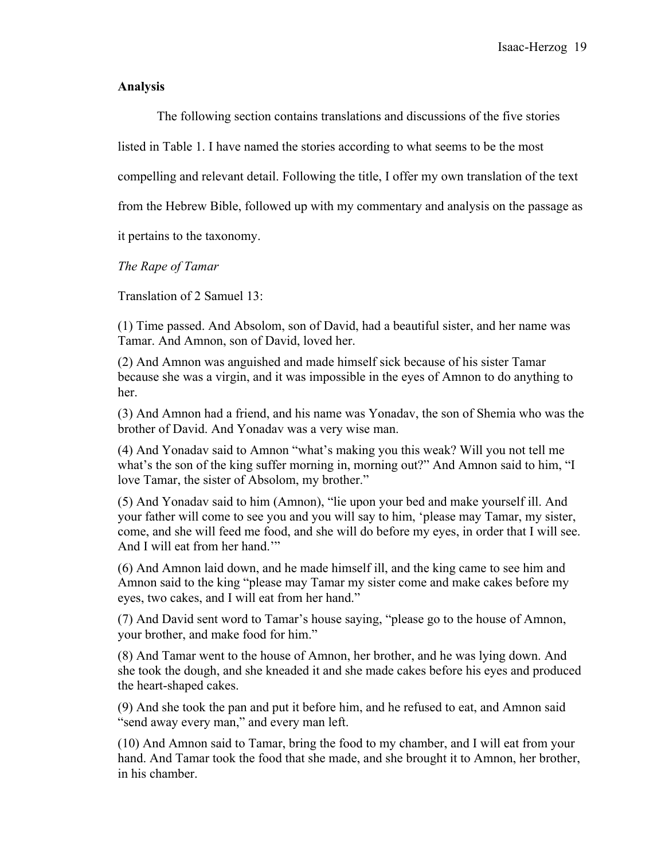### **Analysis**

The following section contains translations and discussions of the five stories

listed in Table 1. I have named the stories according to what seems to be the most

compelling and relevant detail. Following the title, I offer my own translation of the text

from the Hebrew Bible, followed up with my commentary and analysis on the passage as

it pertains to the taxonomy.

*The Rape of Tamar*

Translation of 2 Samuel 13:

(1) Time passed. And Absolom, son of David, had a beautiful sister, and her name was Tamar. And Amnon, son of David, loved her.

(2) And Amnon was anguished and made himself sick because of his sister Tamar because she was a virgin, and it was impossible in the eyes of Amnon to do anything to her.

(3) And Amnon had a friend, and his name was Yonadav, the son of Shemia who was the brother of David. And Yonadav was a very wise man.

(4) And Yonadav said to Amnon "what's making you this weak? Will you not tell me what's the son of the king suffer morning in, morning out?" And Amnon said to him, "I love Tamar, the sister of Absolom, my brother."

(5) And Yonadav said to him (Amnon), "lie upon your bed and make yourself ill. And your father will come to see you and you will say to him, 'please may Tamar, my sister, come, and she will feed me food, and she will do before my eyes, in order that I will see. And I will eat from her hand.'"

(6) And Amnon laid down, and he made himself ill, and the king came to see him and Amnon said to the king "please may Tamar my sister come and make cakes before my eyes, two cakes, and I will eat from her hand."

(7) And David sent word to Tamar's house saying, "please go to the house of Amnon, your brother, and make food for him."

(8) And Tamar went to the house of Amnon, her brother, and he was lying down. And she took the dough, and she kneaded it and she made cakes before his eyes and produced the heart-shaped cakes.

(9) And she took the pan and put it before him, and he refused to eat, and Amnon said "send away every man," and every man left.

(10) And Amnon said to Tamar, bring the food to my chamber, and I will eat from your hand. And Tamar took the food that she made, and she brought it to Amnon, her brother, in his chamber.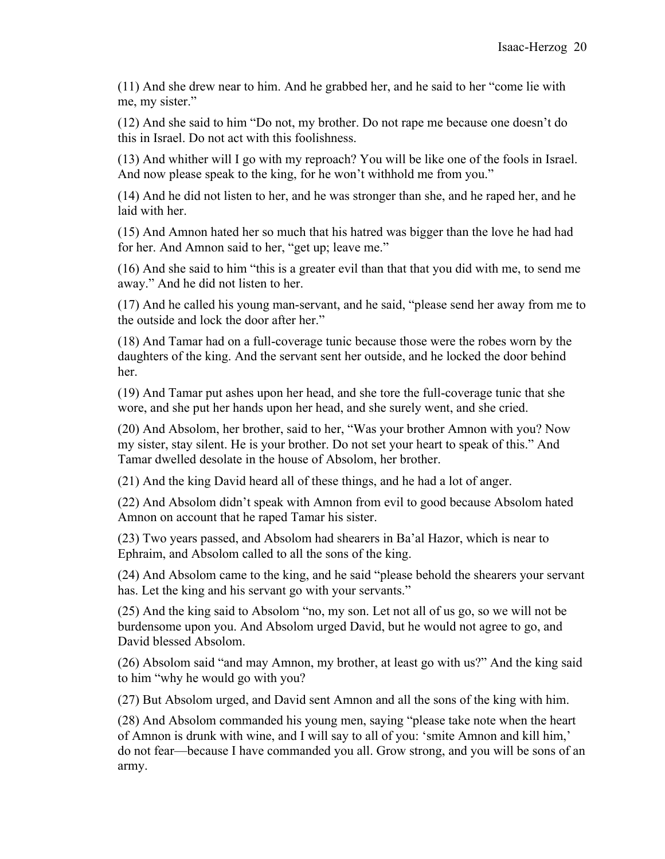(11) And she drew near to him. And he grabbed her, and he said to her "come lie with me, my sister."

(12) And she said to him "Do not, my brother. Do not rape me because one doesn't do this in Israel. Do not act with this foolishness.

(13) And whither will I go with my reproach? You will be like one of the fools in Israel. And now please speak to the king, for he won't withhold me from you."

(14) And he did not listen to her, and he was stronger than she, and he raped her, and he laid with her.

(15) And Amnon hated her so much that his hatred was bigger than the love he had had for her. And Amnon said to her, "get up; leave me."

(16) And she said to him "this is a greater evil than that that you did with me, to send me away." And he did not listen to her.

(17) And he called his young man-servant, and he said, "please send her away from me to the outside and lock the door after her."

(18) And Tamar had on a full-coverage tunic because those were the robes worn by the daughters of the king. And the servant sent her outside, and he locked the door behind her.

(19) And Tamar put ashes upon her head, and she tore the full-coverage tunic that she wore, and she put her hands upon her head, and she surely went, and she cried.

(20) And Absolom, her brother, said to her, "Was your brother Amnon with you? Now my sister, stay silent. He is your brother. Do not set your heart to speak of this." And Tamar dwelled desolate in the house of Absolom, her brother.

(21) And the king David heard all of these things, and he had a lot of anger.

(22) And Absolom didn't speak with Amnon from evil to good because Absolom hated Amnon on account that he raped Tamar his sister.

(23) Two years passed, and Absolom had shearers in Ba'al Hazor, which is near to Ephraim, and Absolom called to all the sons of the king.

(24) And Absolom came to the king, and he said "please behold the shearers your servant has. Let the king and his servant go with your servants."

(25) And the king said to Absolom "no, my son. Let not all of us go, so we will not be burdensome upon you. And Absolom urged David, but he would not agree to go, and David blessed Absolom.

(26) Absolom said "and may Amnon, my brother, at least go with us?" And the king said to him "why he would go with you?

(27) But Absolom urged, and David sent Amnon and all the sons of the king with him.

(28) And Absolom commanded his young men, saying "please take note when the heart of Amnon is drunk with wine, and I will say to all of you: 'smite Amnon and kill him,' do not fear—because I have commanded you all. Grow strong, and you will be sons of an army.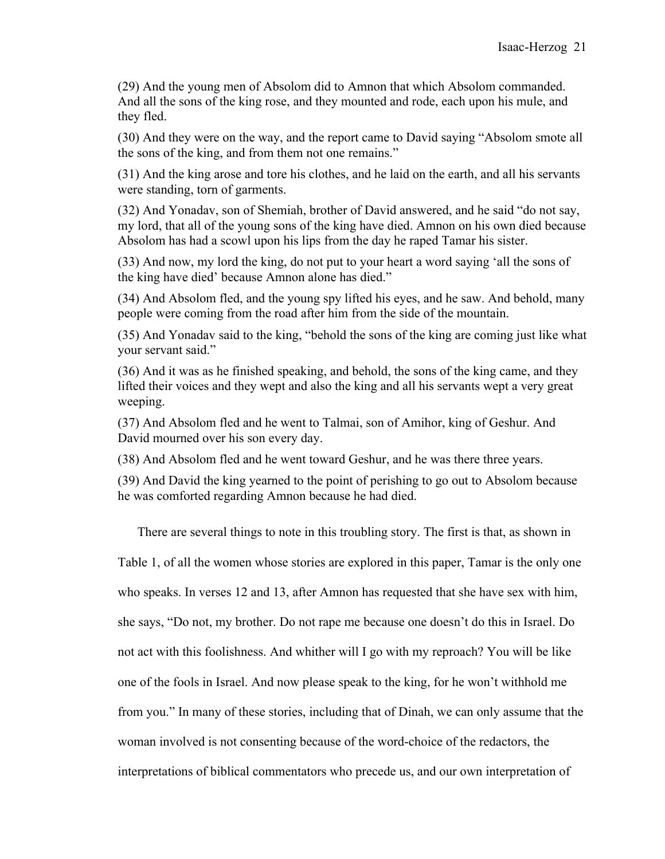(29) And the young men of Absolom did to Amnon that which Absolom commanded. And all the sons of the king rose, and they mounted and rode, each upon his mule, and they fled.

(30) And they were on the way, and the report came to David saying "Absolom smote all the sons of the king, and from them not one remains."

(31) And the king arose and tore his clothes, and he laid on the earth, and all his servants were standing, torn of garments.

(32) And Yonadav, son of Shemiah, brother of David answered, and he said "do not say, my lord, that all of the young sons of the king have died. Amnon on his own died because Absolom has had a scowl upon his lips from the day he raped Tamar his sister.

(33) And now, my lord the king, do not put to your heart a word saying 'all the sons of the king have died' because Amnon alone has died."

(34) And Absolom fled, and the young spy lifted his eyes, and he saw. And behold, many people were coming from the road after him from the side of the mountain.

(35) And Yonadav said to the king, "behold the sons of the king are coming just like what your servant said."

(36) And it was as he finished speaking, and behold, the sons of the king came, and they lifted their voices and they wept and also the king and all his servants wept a very great weeping.

(37) And Absolom fled and he went to Talmai, son of Amihor, king of Geshur. And David mourned over his son every day.

(38) And Absolom fled and he went toward Geshur, and he was there three years.

(39) And David the king yearned to the point of perishing to go out to Absolom because he was comforted regarding Amnon because he had died.

There are several things to note in this troubling story. The first is that, as shown in

Table 1, of all the women whose stories are explored in this paper, Tamar is the only one

who speaks. In verses 12 and 13, after Amnon has requested that she have sex with him,

she says, "Do not, my brother. Do not rape me because one doesn't do this in Israel. Do

not act with this foolishness. And whither will I go with my reproach? You will be like

one of the fools in Israel. And now please speak to the king, for he won't withhold me

from you." In many of these stories, including that of Dinah, we can only assume that the

woman involved is not consenting because of the word-choice of the redactors, the

interpretations of biblical commentators who precede us, and our own interpretation of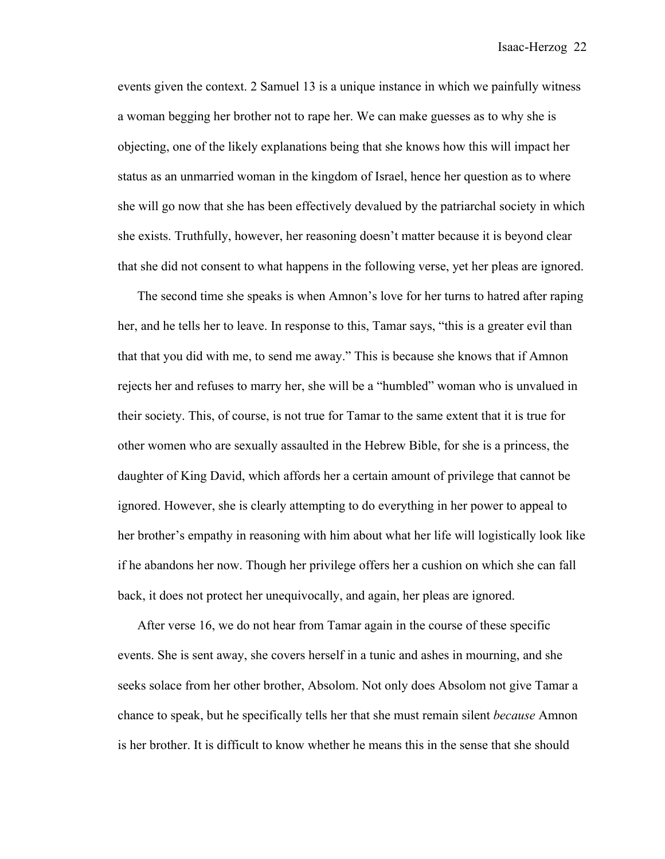events given the context. 2 Samuel 13 is a unique instance in which we painfully witness a woman begging her brother not to rape her. We can make guesses as to why she is objecting, one of the likely explanations being that she knows how this will impact her status as an unmarried woman in the kingdom of Israel, hence her question as to where she will go now that she has been effectively devalued by the patriarchal society in which she exists. Truthfully, however, her reasoning doesn't matter because it is beyond clear that she did not consent to what happens in the following verse, yet her pleas are ignored.

The second time she speaks is when Amnon's love for her turns to hatred after raping her, and he tells her to leave. In response to this, Tamar says, "this is a greater evil than that that you did with me, to send me away." This is because she knows that if Amnon rejects her and refuses to marry her, she will be a "humbled" woman who is unvalued in their society. This, of course, is not true for Tamar to the same extent that it is true for other women who are sexually assaulted in the Hebrew Bible, for she is a princess, the daughter of King David, which affords her a certain amount of privilege that cannot be ignored. However, she is clearly attempting to do everything in her power to appeal to her brother's empathy in reasoning with him about what her life will logistically look like if he abandons her now. Though her privilege offers her a cushion on which she can fall back, it does not protect her unequivocally, and again, her pleas are ignored.

After verse 16, we do not hear from Tamar again in the course of these specific events. She is sent away, she covers herself in a tunic and ashes in mourning, and she seeks solace from her other brother, Absolom. Not only does Absolom not give Tamar a chance to speak, but he specifically tells her that she must remain silent *because* Amnon is her brother. It is difficult to know whether he means this in the sense that she should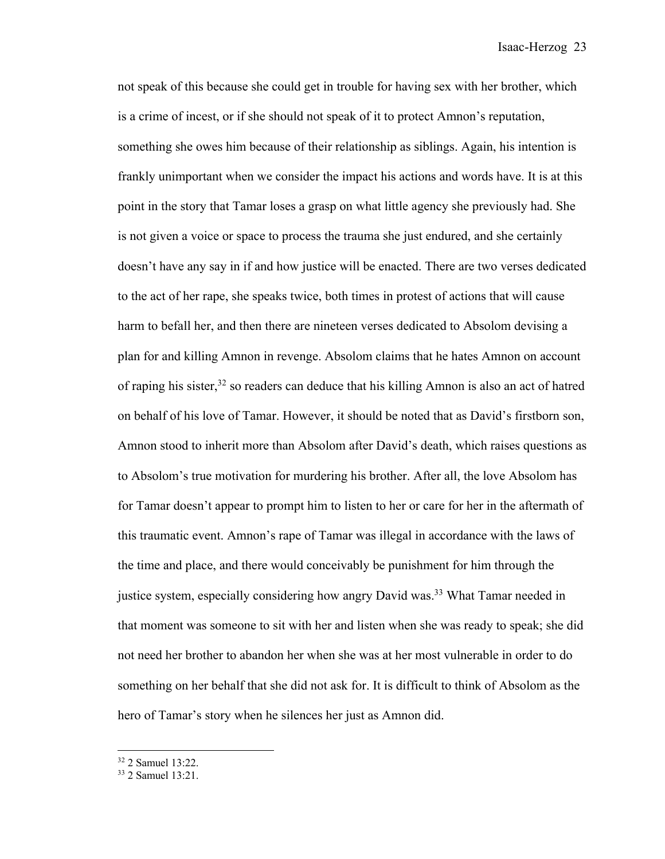not speak of this because she could get in trouble for having sex with her brother, which is a crime of incest, or if she should not speak of it to protect Amnon's reputation, something she owes him because of their relationship as siblings. Again, his intention is frankly unimportant when we consider the impact his actions and words have. It is at this point in the story that Tamar loses a grasp on what little agency she previously had. She is not given a voice or space to process the trauma she just endured, and she certainly doesn't have any say in if and how justice will be enacted. There are two verses dedicated to the act of her rape, she speaks twice, both times in protest of actions that will cause harm to befall her, and then there are nineteen verses dedicated to Absolom devising a plan for and killing Amnon in revenge. Absolom claims that he hates Amnon on account of raping his sister,<sup>32</sup> so readers can deduce that his killing Amnon is also an act of hatred on behalf of his love of Tamar. However, it should be noted that as David's firstborn son, Amnon stood to inherit more than Absolom after David's death, which raises questions as to Absolom's true motivation for murdering his brother. After all, the love Absolom has for Tamar doesn't appear to prompt him to listen to her or care for her in the aftermath of this traumatic event. Amnon's rape of Tamar was illegal in accordance with the laws of the time and place, and there would conceivably be punishment for him through the justice system, especially considering how angry David was.<sup>33</sup> What Tamar needed in that moment was someone to sit with her and listen when she was ready to speak; she did not need her brother to abandon her when she was at her most vulnerable in order to do something on her behalf that she did not ask for. It is difficult to think of Absolom as the hero of Tamar's story when he silences her just as Amnon did.

<sup>32</sup> 2 Samuel 13:22.

<sup>33</sup> 2 Samuel 13:21.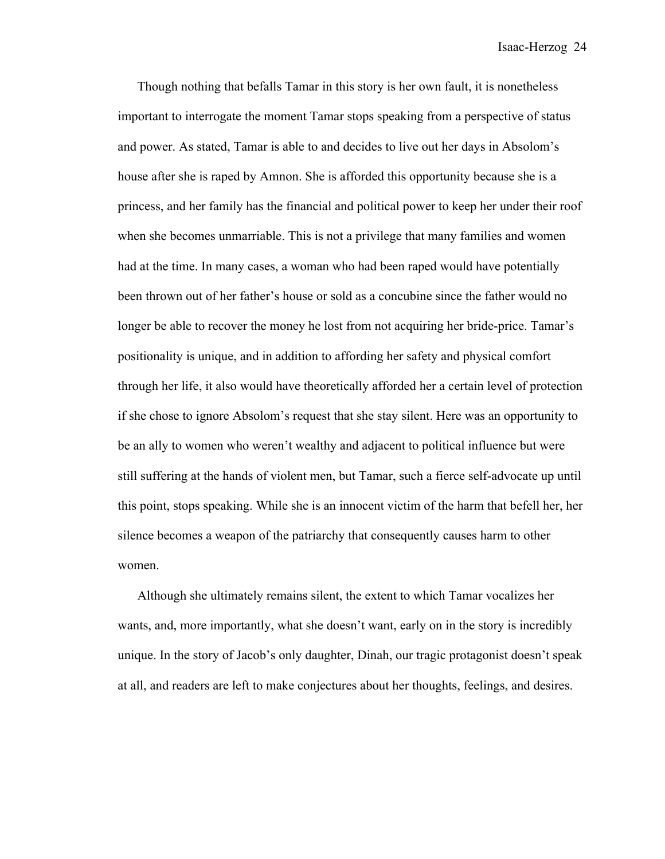Though nothing that befalls Tamar in this story is her own fault, it is nonetheless important to interrogate the moment Tamar stops speaking from a perspective of status and power. As stated, Tamar is able to and decides to live out her days in Absolom's house after she is raped by Amnon. She is afforded this opportunity because she is a princess, and her family has the financial and political power to keep her under their roof when she becomes unmarriable. This is not a privilege that many families and women had at the time. In many cases, a woman who had been raped would have potentially been thrown out of her father's house or sold as a concubine since the father would no longer be able to recover the money he lost from not acquiring her bride-price. Tamar's positionality is unique, and in addition to affording her safety and physical comfort through her life, it also would have theoretically afforded her a certain level of protection if she chose to ignore Absolom's request that she stay silent. Here was an opportunity to be an ally to women who weren't wealthy and adjacent to political influence but were still suffering at the hands of violent men, but Tamar, such a fierce self-advocate up until this point, stops speaking. While she is an innocent victim of the harm that befell her, her silence becomes a weapon of the patriarchy that consequently causes harm to other women.

Although she ultimately remains silent, the extent to which Tamar vocalizes her wants, and, more importantly, what she doesn't want, early on in the story is incredibly unique. In the story of Jacob's only daughter, Dinah, our tragic protagonist doesn't speak at all, and readers are left to make conjectures about her thoughts, feelings, and desires.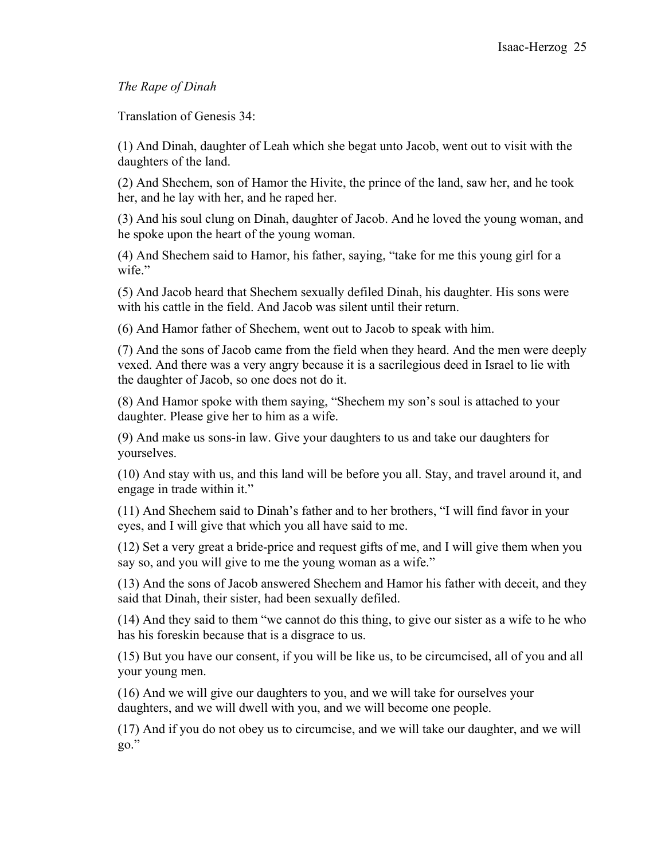## *The Rape of Dinah*

Translation of Genesis 34:

(1) And Dinah, daughter of Leah which she begat unto Jacob, went out to visit with the daughters of the land.

(2) And Shechem, son of Hamor the Hivite, the prince of the land, saw her, and he took her, and he lay with her, and he raped her.

(3) And his soul clung on Dinah, daughter of Jacob. And he loved the young woman, and he spoke upon the heart of the young woman.

(4) And Shechem said to Hamor, his father, saying, "take for me this young girl for a wife."

(5) And Jacob heard that Shechem sexually defiled Dinah, his daughter. His sons were with his cattle in the field. And Jacob was silent until their return.

(6) And Hamor father of Shechem, went out to Jacob to speak with him.

(7) And the sons of Jacob came from the field when they heard. And the men were deeply vexed. And there was a very angry because it is a sacrilegious deed in Israel to lie with the daughter of Jacob, so one does not do it.

(8) And Hamor spoke with them saying, "Shechem my son's soul is attached to your daughter. Please give her to him as a wife.

(9) And make us sons-in law. Give your daughters to us and take our daughters for yourselves.

(10) And stay with us, and this land will be before you all. Stay, and travel around it, and engage in trade within it."

(11) And Shechem said to Dinah's father and to her brothers, "I will find favor in your eyes, and I will give that which you all have said to me.

(12) Set a very great a bride-price and request gifts of me, and I will give them when you say so, and you will give to me the young woman as a wife."

(13) And the sons of Jacob answered Shechem and Hamor his father with deceit, and they said that Dinah, their sister, had been sexually defiled.

(14) And they said to them "we cannot do this thing, to give our sister as a wife to he who has his foreskin because that is a disgrace to us.

(15) But you have our consent, if you will be like us, to be circumcised, all of you and all your young men.

(16) And we will give our daughters to you, and we will take for ourselves your daughters, and we will dwell with you, and we will become one people.

(17) And if you do not obey us to circumcise, and we will take our daughter, and we will go."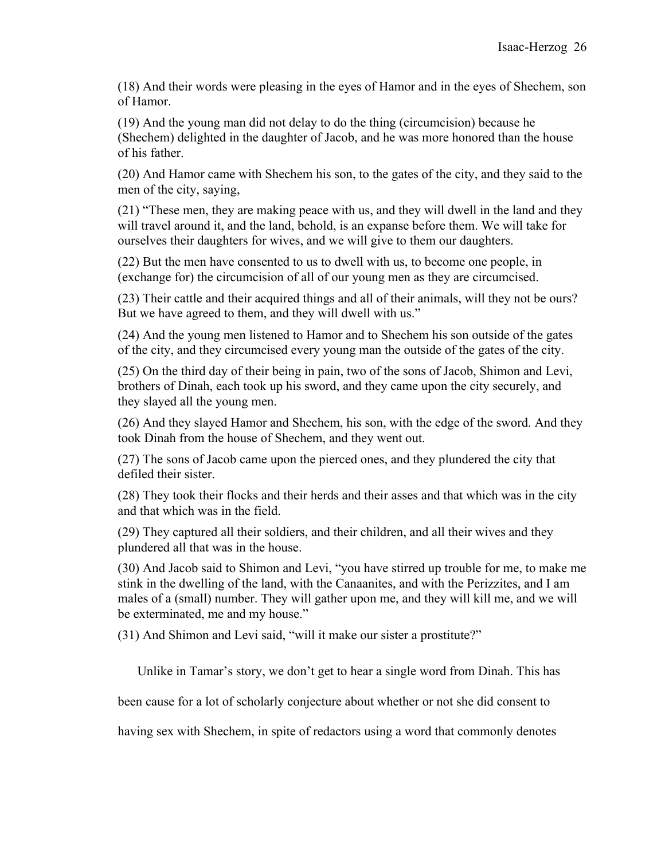(18) And their words were pleasing in the eyes of Hamor and in the eyes of Shechem, son of Hamor.

(19) And the young man did not delay to do the thing (circumcision) because he (Shechem) delighted in the daughter of Jacob, and he was more honored than the house of his father.

(20) And Hamor came with Shechem his son, to the gates of the city, and they said to the men of the city, saying,

(21) "These men, they are making peace with us, and they will dwell in the land and they will travel around it, and the land, behold, is an expanse before them. We will take for ourselves their daughters for wives, and we will give to them our daughters.

(22) But the men have consented to us to dwell with us, to become one people, in (exchange for) the circumcision of all of our young men as they are circumcised.

(23) Their cattle and their acquired things and all of their animals, will they not be ours? But we have agreed to them, and they will dwell with us."

(24) And the young men listened to Hamor and to Shechem his son outside of the gates of the city, and they circumcised every young man the outside of the gates of the city.

(25) On the third day of their being in pain, two of the sons of Jacob, Shimon and Levi, brothers of Dinah, each took up his sword, and they came upon the city securely, and they slayed all the young men.

(26) And they slayed Hamor and Shechem, his son, with the edge of the sword. And they took Dinah from the house of Shechem, and they went out.

(27) The sons of Jacob came upon the pierced ones, and they plundered the city that defiled their sister.

(28) They took their flocks and their herds and their asses and that which was in the city and that which was in the field.

(29) They captured all their soldiers, and their children, and all their wives and they plundered all that was in the house.

(30) And Jacob said to Shimon and Levi, "you have stirred up trouble for me, to make me stink in the dwelling of the land, with the Canaanites, and with the Perizzites, and I am males of a (small) number. They will gather upon me, and they will kill me, and we will be exterminated, me and my house."

(31) And Shimon and Levi said, "will it make our sister a prostitute?"

Unlike in Tamar's story, we don't get to hear a single word from Dinah. This has

been cause for a lot of scholarly conjecture about whether or not she did consent to

having sex with Shechem, in spite of redactors using a word that commonly denotes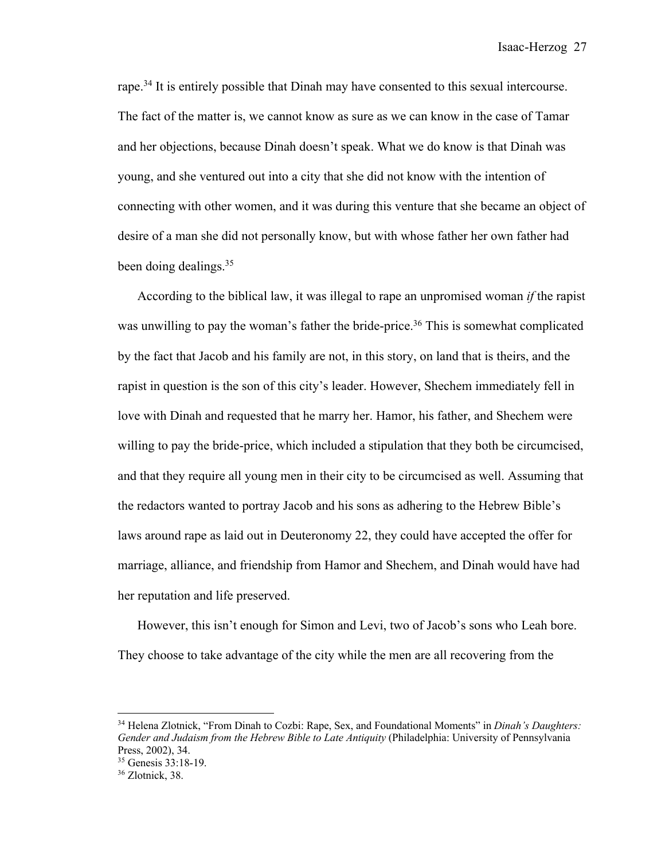rape.<sup>34</sup> It is entirely possible that Dinah may have consented to this sexual intercourse. The fact of the matter is, we cannot know as sure as we can know in the case of Tamar and her objections, because Dinah doesn't speak. What we do know is that Dinah was young, and she ventured out into a city that she did not know with the intention of connecting with other women, and it was during this venture that she became an object of desire of a man she did not personally know, but with whose father her own father had been doing dealings.35

According to the biblical law, it was illegal to rape an unpromised woman *if* the rapist was unwilling to pay the woman's father the bride-price.<sup>36</sup> This is somewhat complicated by the fact that Jacob and his family are not, in this story, on land that is theirs, and the rapist in question is the son of this city's leader. However, Shechem immediately fell in love with Dinah and requested that he marry her. Hamor, his father, and Shechem were willing to pay the bride-price, which included a stipulation that they both be circumcised, and that they require all young men in their city to be circumcised as well. Assuming that the redactors wanted to portray Jacob and his sons as adhering to the Hebrew Bible's laws around rape as laid out in Deuteronomy 22, they could have accepted the offer for marriage, alliance, and friendship from Hamor and Shechem, and Dinah would have had her reputation and life preserved.

However, this isn't enough for Simon and Levi, two of Jacob's sons who Leah bore. They choose to take advantage of the city while the men are all recovering from the

<sup>34</sup> Helena Zlotnick, "From Dinah to Cozbi: Rape, Sex, and Foundational Moments" in *Dinah's Daughters: Gender and Judaism from the Hebrew Bible to Late Antiquity* (Philadelphia: University of Pennsylvania Press, 2002), 34.

<sup>35</sup> Genesis 33:18-19.

<sup>36</sup> Zlotnick, 38.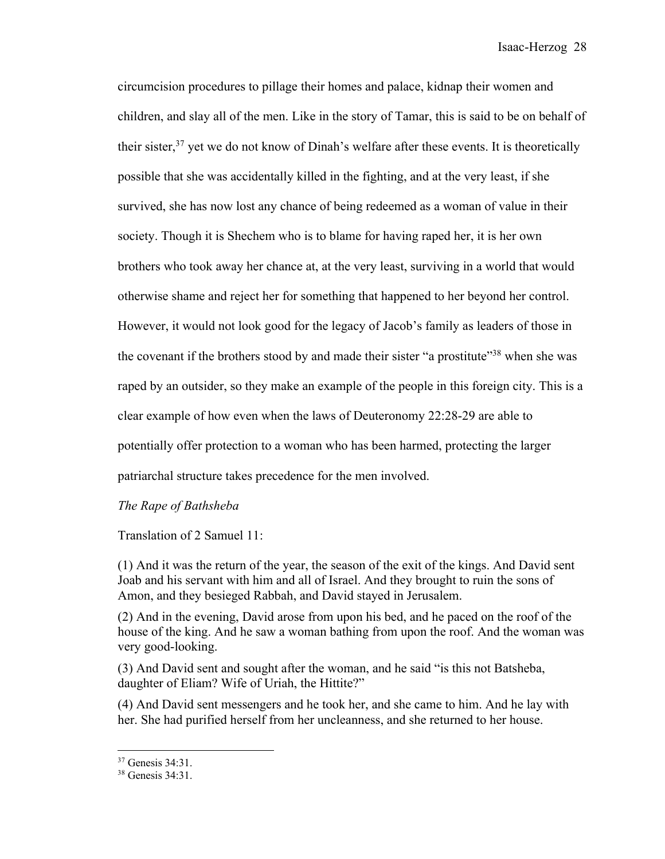circumcision procedures to pillage their homes and palace, kidnap their women and children, and slay all of the men. Like in the story of Tamar, this is said to be on behalf of their sister, $37$  yet we do not know of Dinah's welfare after these events. It is theoretically possible that she was accidentally killed in the fighting, and at the very least, if she survived, she has now lost any chance of being redeemed as a woman of value in their society. Though it is Shechem who is to blame for having raped her, it is her own brothers who took away her chance at, at the very least, surviving in a world that would otherwise shame and reject her for something that happened to her beyond her control. However, it would not look good for the legacy of Jacob's family as leaders of those in the covenant if the brothers stood by and made their sister "a prostitute"<sup>38</sup> when she was raped by an outsider, so they make an example of the people in this foreign city. This is a clear example of how even when the laws of Deuteronomy 22:28-29 are able to potentially offer protection to a woman who has been harmed, protecting the larger patriarchal structure takes precedence for the men involved.

#### *The Rape of Bathsheba*

Translation of 2 Samuel 11:

(1) And it was the return of the year, the season of the exit of the kings. And David sent Joab and his servant with him and all of Israel. And they brought to ruin the sons of Amon, and they besieged Rabbah, and David stayed in Jerusalem.

(2) And in the evening, David arose from upon his bed, and he paced on the roof of the house of the king. And he saw a woman bathing from upon the roof. And the woman was very good-looking.

(3) And David sent and sought after the woman, and he said "is this not Batsheba, daughter of Eliam? Wife of Uriah, the Hittite?"

(4) And David sent messengers and he took her, and she came to him. And he lay with her. She had purified herself from her uncleanness, and she returned to her house.

<sup>37</sup> Genesis 34:31.

<sup>38</sup> Genesis 34:31.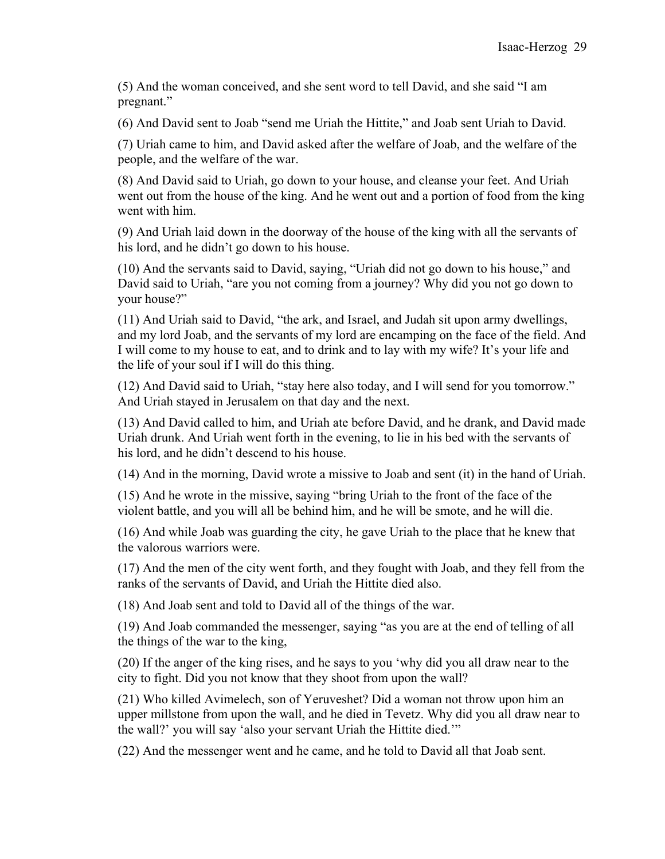(5) And the woman conceived, and she sent word to tell David, and she said "I am pregnant."

(6) And David sent to Joab "send me Uriah the Hittite," and Joab sent Uriah to David.

(7) Uriah came to him, and David asked after the welfare of Joab, and the welfare of the people, and the welfare of the war.

(8) And David said to Uriah, go down to your house, and cleanse your feet. And Uriah went out from the house of the king. And he went out and a portion of food from the king went with him.

(9) And Uriah laid down in the doorway of the house of the king with all the servants of his lord, and he didn't go down to his house.

(10) And the servants said to David, saying, "Uriah did not go down to his house," and David said to Uriah, "are you not coming from a journey? Why did you not go down to your house?"

(11) And Uriah said to David, "the ark, and Israel, and Judah sit upon army dwellings, and my lord Joab, and the servants of my lord are encamping on the face of the field. And I will come to my house to eat, and to drink and to lay with my wife? It's your life and the life of your soul if I will do this thing.

(12) And David said to Uriah, "stay here also today, and I will send for you tomorrow." And Uriah stayed in Jerusalem on that day and the next.

(13) And David called to him, and Uriah ate before David, and he drank, and David made Uriah drunk. And Uriah went forth in the evening, to lie in his bed with the servants of his lord, and he didn't descend to his house.

(14) And in the morning, David wrote a missive to Joab and sent (it) in the hand of Uriah.

(15) And he wrote in the missive, saying "bring Uriah to the front of the face of the violent battle, and you will all be behind him, and he will be smote, and he will die.

(16) And while Joab was guarding the city, he gave Uriah to the place that he knew that the valorous warriors were.

(17) And the men of the city went forth, and they fought with Joab, and they fell from the ranks of the servants of David, and Uriah the Hittite died also.

(18) And Joab sent and told to David all of the things of the war.

(19) And Joab commanded the messenger, saying "as you are at the end of telling of all the things of the war to the king,

(20) If the anger of the king rises, and he says to you 'why did you all draw near to the city to fight. Did you not know that they shoot from upon the wall?

(21) Who killed Avimelech, son of Yeruveshet? Did a woman not throw upon him an upper millstone from upon the wall, and he died in Tevetz. Why did you all draw near to the wall?' you will say 'also your servant Uriah the Hittite died.'"

(22) And the messenger went and he came, and he told to David all that Joab sent.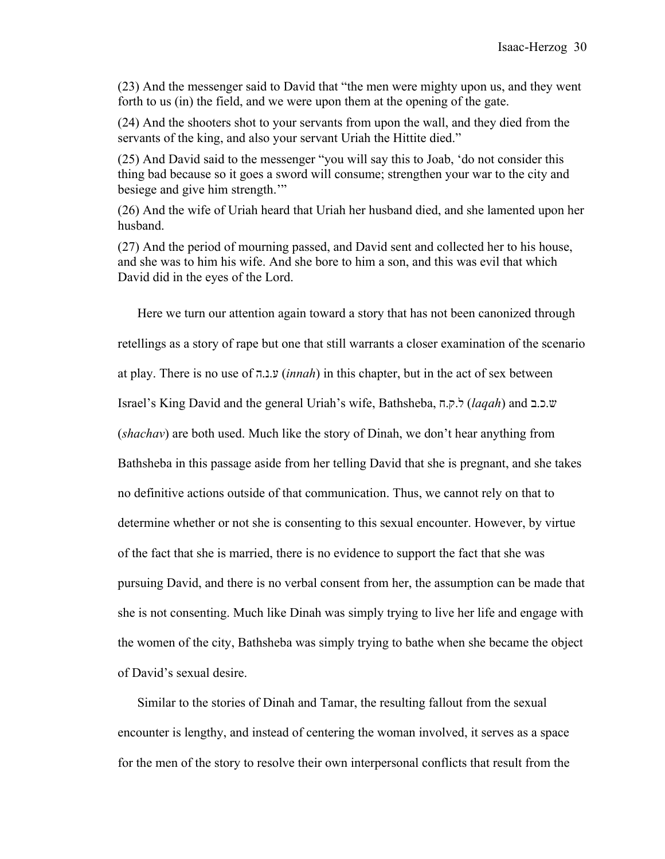(23) And the messenger said to David that "the men were mighty upon us, and they went forth to us (in) the field, and we were upon them at the opening of the gate.

(24) And the shooters shot to your servants from upon the wall, and they died from the servants of the king, and also your servant Uriah the Hittite died."

(25) And David said to the messenger "you will say this to Joab, 'do not consider this thing bad because so it goes a sword will consume; strengthen your war to the city and besiege and give him strength.'"

(26) And the wife of Uriah heard that Uriah her husband died, and she lamented upon her husband.

(27) And the period of mourning passed, and David sent and collected her to his house, and she was to him his wife. And she bore to him a son, and this was evil that which David did in the eyes of the Lord.

Here we turn our attention again toward a story that has not been canonized through retellings as a story of rape but one that still warrants a closer examination of the scenario at play. There is no use of ע.נ.ה) *innah*) in this chapter, but in the act of sex between Israel's King David and the general Uriah's wife, Bathsheba, ל.ק.ח) *laqah*) and ש.כ.ב (*shachav*) are both used. Much like the story of Dinah, we don't hear anything from Bathsheba in this passage aside from her telling David that she is pregnant, and she takes no definitive actions outside of that communication. Thus, we cannot rely on that to determine whether or not she is consenting to this sexual encounter. However, by virtue of the fact that she is married, there is no evidence to support the fact that she was pursuing David, and there is no verbal consent from her, the assumption can be made that she is not consenting. Much like Dinah was simply trying to live her life and engage with the women of the city, Bathsheba was simply trying to bathe when she became the object of David's sexual desire.

Similar to the stories of Dinah and Tamar, the resulting fallout from the sexual encounter is lengthy, and instead of centering the woman involved, it serves as a space for the men of the story to resolve their own interpersonal conflicts that result from the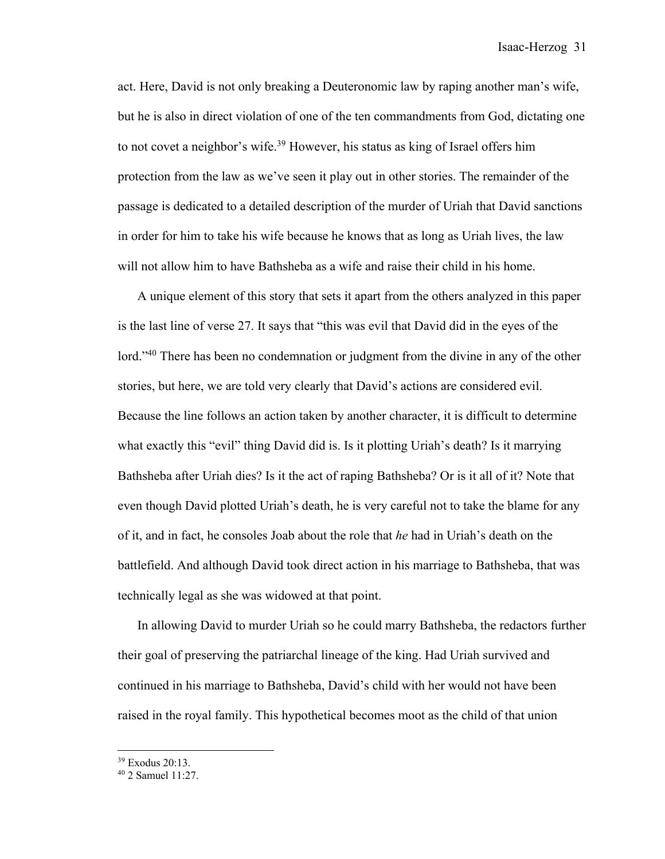act. Here, David is not only breaking a Deuteronomic law by raping another man's wife, but he is also in direct violation of one of the ten commandments from God, dictating one to not covet a neighbor's wife.<sup>39</sup> However, his status as king of Israel offers him protection from the law as we've seen it play out in other stories. The remainder of the passage is dedicated to a detailed description of the murder of Uriah that David sanctions in order for him to take his wife because he knows that as long as Uriah lives, the law will not allow him to have Bathsheba as a wife and raise their child in his home.

A unique element of this story that sets it apart from the others analyzed in this paper is the last line of verse 27. It says that "this was evil that David did in the eyes of the lord."<sup>40</sup> There has been no condemnation or judgment from the divine in any of the other stories, but here, we are told very clearly that David's actions are considered evil. Because the line follows an action taken by another character, it is difficult to determine what exactly this "evil" thing David did is. Is it plotting Uriah's death? Is it marrying Bathsheba after Uriah dies? Is it the act of raping Bathsheba? Or is it all of it? Note that even though David plotted Uriah's death, he is very careful not to take the blame for any of it, and in fact, he consoles Joab about the role that *he* had in Uriah's death on the battlefield. And although David took direct action in his marriage to Bathsheba, that was technically legal as she was widowed at that point.

In allowing David to murder Uriah so he could marry Bathsheba, the redactors further their goal of preserving the patriarchal lineage of the king. Had Uriah survived and continued in his marriage to Bathsheba, David's child with her would not have been raised in the royal family. This hypothetical becomes moot as the child of that union

<sup>39</sup> Exodus 20:13.

<sup>40</sup> 2 Samuel 11:27.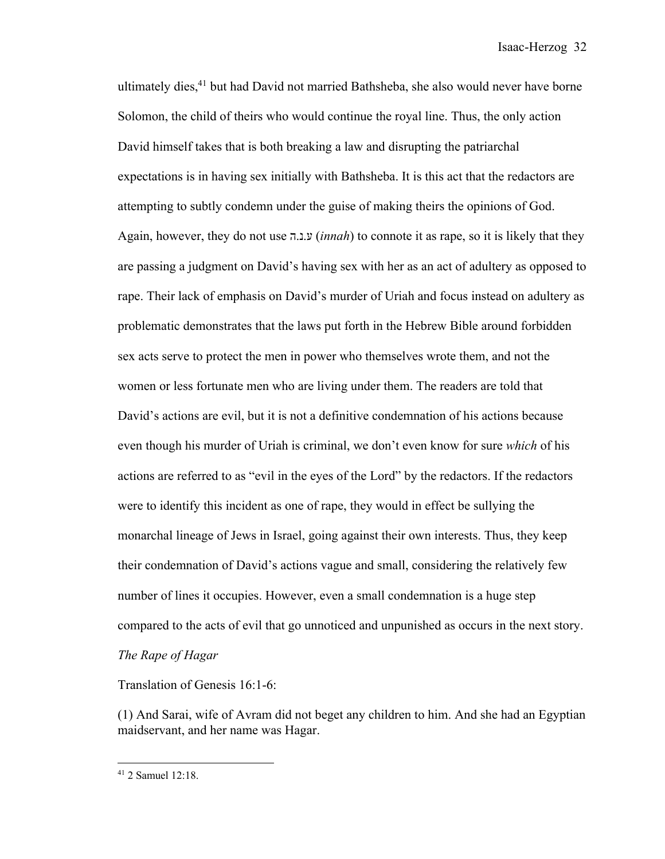ultimately dies,<sup>41</sup> but had David not married Bathsheba, she also would never have borne Solomon, the child of theirs who would continue the royal line. Thus, the only action David himself takes that is both breaking a law and disrupting the patriarchal expectations is in having sex initially with Bathsheba. It is this act that the redactors are attempting to subtly condemn under the guise of making theirs the opinions of God. Again, however, they do not use ע.נ.ה) *innah*) to connote it as rape, so it is likely that they are passing a judgment on David's having sex with her as an act of adultery as opposed to rape. Their lack of emphasis on David's murder of Uriah and focus instead on adultery as problematic demonstrates that the laws put forth in the Hebrew Bible around forbidden sex acts serve to protect the men in power who themselves wrote them, and not the women or less fortunate men who are living under them. The readers are told that David's actions are evil, but it is not a definitive condemnation of his actions because even though his murder of Uriah is criminal, we don't even know for sure *which* of his actions are referred to as "evil in the eyes of the Lord" by the redactors. If the redactors were to identify this incident as one of rape, they would in effect be sullying the monarchal lineage of Jews in Israel, going against their own interests. Thus, they keep their condemnation of David's actions vague and small, considering the relatively few number of lines it occupies. However, even a small condemnation is a huge step compared to the acts of evil that go unnoticed and unpunished as occurs in the next story. *The Rape of Hagar*

Translation of Genesis 16:1-6:

(1) And Sarai, wife of Avram did not beget any children to him. And she had an Egyptian maidservant, and her name was Hagar.

<sup>41</sup> 2 Samuel 12:18.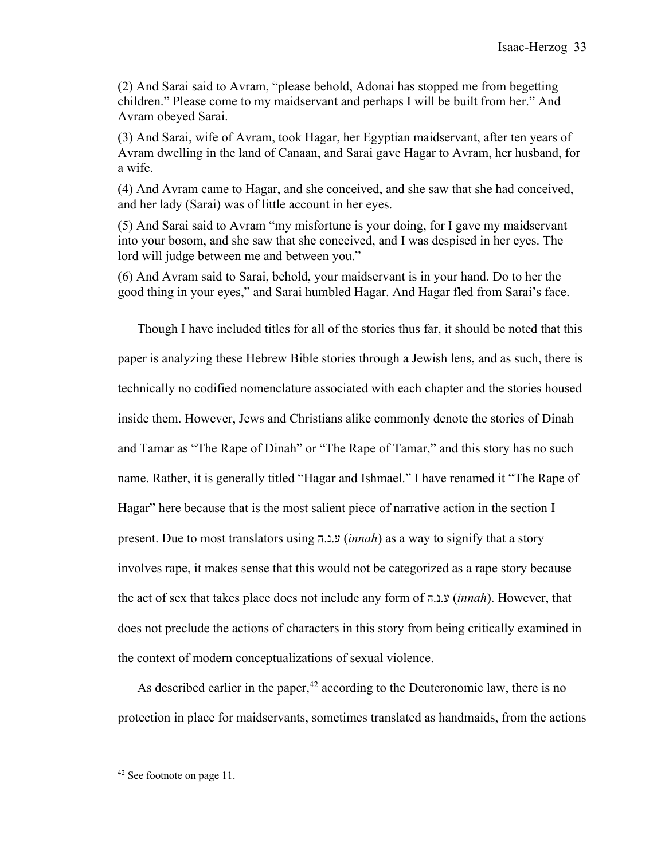(2) And Sarai said to Avram, "please behold, Adonai has stopped me from begetting children." Please come to my maidservant and perhaps I will be built from her." And Avram obeyed Sarai.

(3) And Sarai, wife of Avram, took Hagar, her Egyptian maidservant, after ten years of Avram dwelling in the land of Canaan, and Sarai gave Hagar to Avram, her husband, for a wife.

(4) And Avram came to Hagar, and she conceived, and she saw that she had conceived, and her lady (Sarai) was of little account in her eyes.

(5) And Sarai said to Avram "my misfortune is your doing, for I gave my maidservant into your bosom, and she saw that she conceived, and I was despised in her eyes. The lord will judge between me and between you."

(6) And Avram said to Sarai, behold, your maidservant is in your hand. Do to her the good thing in your eyes," and Sarai humbled Hagar. And Hagar fled from Sarai's face.

Though I have included titles for all of the stories thus far, it should be noted that this paper is analyzing these Hebrew Bible stories through a Jewish lens, and as such, there is technically no codified nomenclature associated with each chapter and the stories housed inside them. However, Jews and Christians alike commonly denote the stories of Dinah and Tamar as "The Rape of Dinah" or "The Rape of Tamar," and this story has no such name. Rather, it is generally titled "Hagar and Ishmael." I have renamed it "The Rape of Hagar" here because that is the most salient piece of narrative action in the section I present. Due to most translators using ע.נ.ה) *innah*) as a way to signify that a story involves rape, it makes sense that this would not be categorized as a rape story because the act of sex that takes place does not include any form of ע.נ.ה) *innah*). However, that does not preclude the actions of characters in this story from being critically examined in the context of modern conceptualizations of sexual violence.

As described earlier in the paper,  $42$  according to the Deuteronomic law, there is no protection in place for maidservants, sometimes translated as handmaids, from the actions

<sup>42</sup> See footnote on page 11.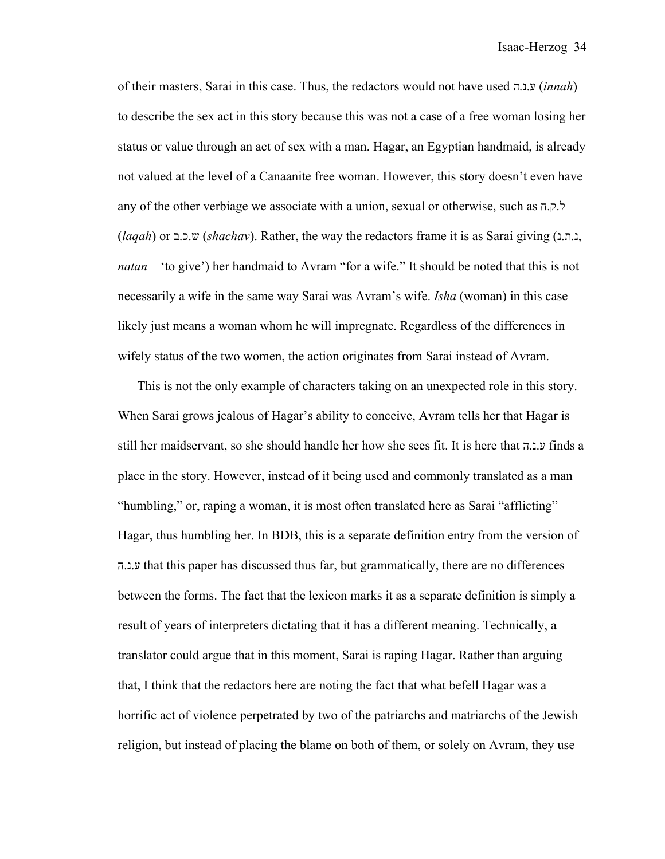of their masters, Sarai in this case. Thus, the redactors would not have used .נ.ה ע) *innah*) to describe the sex act in this story because this was not a case of a free woman losing her status or value through an act of sex with a man. Hagar, an Egyptian handmaid, is already not valued at the level of a Canaanite free woman. However, this story doesn't even have any of the other verbiage we associate with a union, sexual or otherwise, such as  $\pi$ ,  $\sigma$ . (*laqah*) or ש.כ.ב) *shachav*). Rather, the way the redactors frame it is as Sarai giving ( נ.ת.נ , *natan* – 'to give') her handmaid to Avram "for a wife." It should be noted that this is not necessarily a wife in the same way Sarai was Avram's wife. *Isha* (woman) in this case likely just means a woman whom he will impregnate. Regardless of the differences in wifely status of the two women, the action originates from Sarai instead of Avram.

This is not the only example of characters taking on an unexpected role in this story. When Sarai grows jealous of Hagar's ability to conceive, Avram tells her that Hagar is still her maidservant, so she should handle her how she sees fit. It is here that ע.נ.ה finds a place in the story. However, instead of it being used and commonly translated as a man "humbling," or, raping a woman, it is most often translated here as Sarai "afflicting" Hagar, thus humbling her. In BDB, this is a separate definition entry from the version of ע.נ.ה that this paper has discussed thus far, but grammatically, there are no differences between the forms. The fact that the lexicon marks it as a separate definition is simply a result of years of interpreters dictating that it has a different meaning. Technically, a translator could argue that in this moment, Sarai is raping Hagar. Rather than arguing that, I think that the redactors here are noting the fact that what befell Hagar was a horrific act of violence perpetrated by two of the patriarchs and matriarchs of the Jewish religion, but instead of placing the blame on both of them, or solely on Avram, they use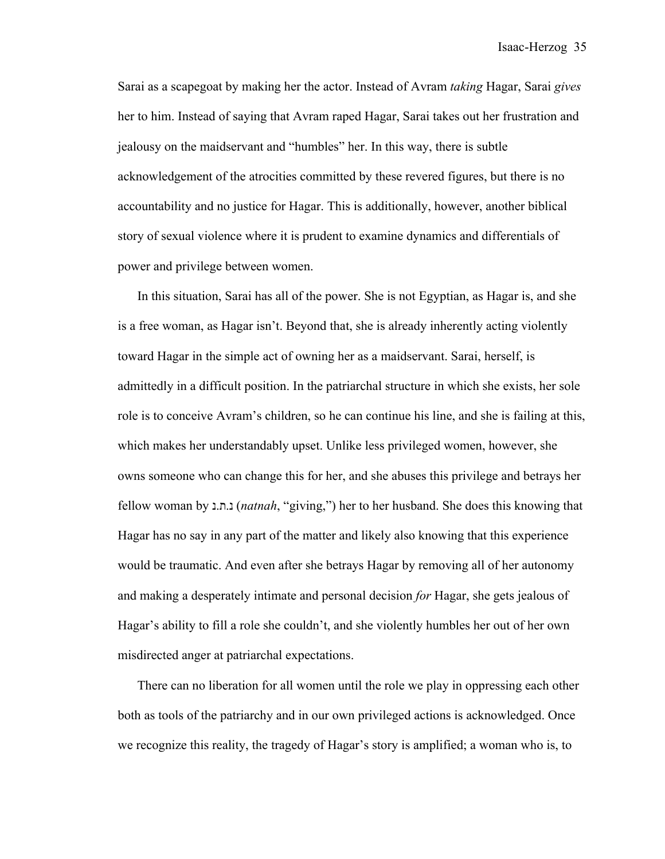Sarai as a scapegoat by making her the actor. Instead of Avram *taking* Hagar, Sarai *gives* her to him. Instead of saying that Avram raped Hagar, Sarai takes out her frustration and jealousy on the maidservant and "humbles" her. In this way, there is subtle acknowledgement of the atrocities committed by these revered figures, but there is no accountability and no justice for Hagar. This is additionally, however, another biblical story of sexual violence where it is prudent to examine dynamics and differentials of power and privilege between women.

In this situation, Sarai has all of the power. She is not Egyptian, as Hagar is, and she is a free woman, as Hagar isn't. Beyond that, she is already inherently acting violently toward Hagar in the simple act of owning her as a maidservant. Sarai, herself, is admittedly in a difficult position. In the patriarchal structure in which she exists, her sole role is to conceive Avram's children, so he can continue his line, and she is failing at this, which makes her understandably upset. Unlike less privileged women, however, she owns someone who can change this for her, and she abuses this privilege and betrays her fellow woman by נ נ.ת.) *natnah*, "giving,") her to her husband. She does this knowing that Hagar has no say in any part of the matter and likely also knowing that this experience would be traumatic. And even after she betrays Hagar by removing all of her autonomy and making a desperately intimate and personal decision *for* Hagar, she gets jealous of Hagar's ability to fill a role she couldn't, and she violently humbles her out of her own misdirected anger at patriarchal expectations.

There can no liberation for all women until the role we play in oppressing each other both as tools of the patriarchy and in our own privileged actions is acknowledged. Once we recognize this reality, the tragedy of Hagar's story is amplified; a woman who is, to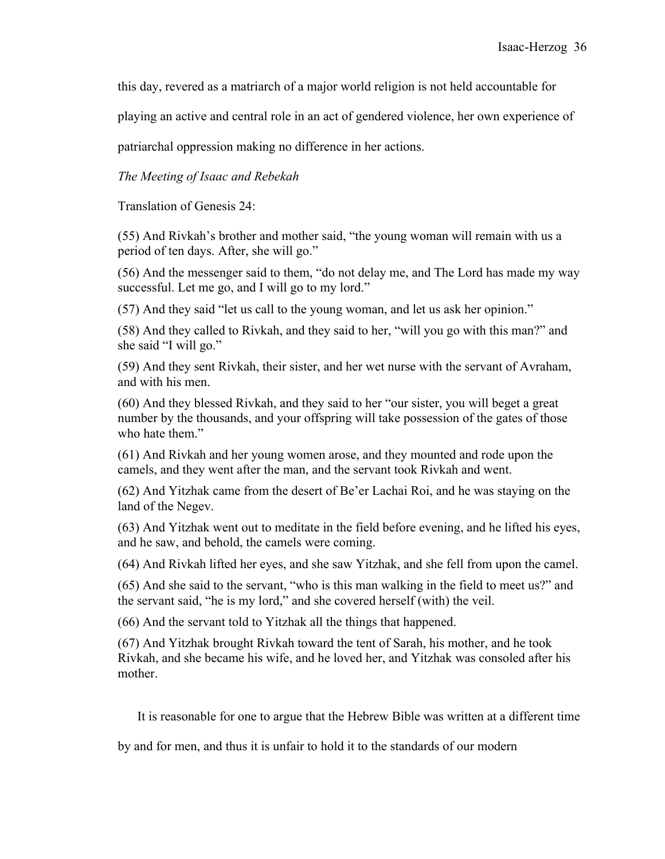this day, revered as a matriarch of a major world religion is not held accountable for

playing an active and central role in an act of gendered violence, her own experience of

patriarchal oppression making no difference in her actions.

*The Meeting of Isaac and Rebekah*

Translation of Genesis 24:

(55) And Rivkah's brother and mother said, "the young woman will remain with us a period of ten days. After, she will go."

(56) And the messenger said to them, "do not delay me, and The Lord has made my way successful. Let me go, and I will go to my lord."

(57) And they said "let us call to the young woman, and let us ask her opinion."

(58) And they called to Rivkah, and they said to her, "will you go with this man?" and she said "I will go."

(59) And they sent Rivkah, their sister, and her wet nurse with the servant of Avraham, and with his men.

(60) And they blessed Rivkah, and they said to her "our sister, you will beget a great number by the thousands, and your offspring will take possession of the gates of those who hate them."

(61) And Rivkah and her young women arose, and they mounted and rode upon the camels, and they went after the man, and the servant took Rivkah and went.

(62) And Yitzhak came from the desert of Be'er Lachai Roi, and he was staying on the land of the Negev.

(63) And Yitzhak went out to meditate in the field before evening, and he lifted his eyes, and he saw, and behold, the camels were coming.

(64) And Rivkah lifted her eyes, and she saw Yitzhak, and she fell from upon the camel.

(65) And she said to the servant, "who is this man walking in the field to meet us?" and the servant said, "he is my lord," and she covered herself (with) the veil.

(66) And the servant told to Yitzhak all the things that happened.

(67) And Yitzhak brought Rivkah toward the tent of Sarah, his mother, and he took Rivkah, and she became his wife, and he loved her, and Yitzhak was consoled after his mother.

It is reasonable for one to argue that the Hebrew Bible was written at a different time

by and for men, and thus it is unfair to hold it to the standards of our modern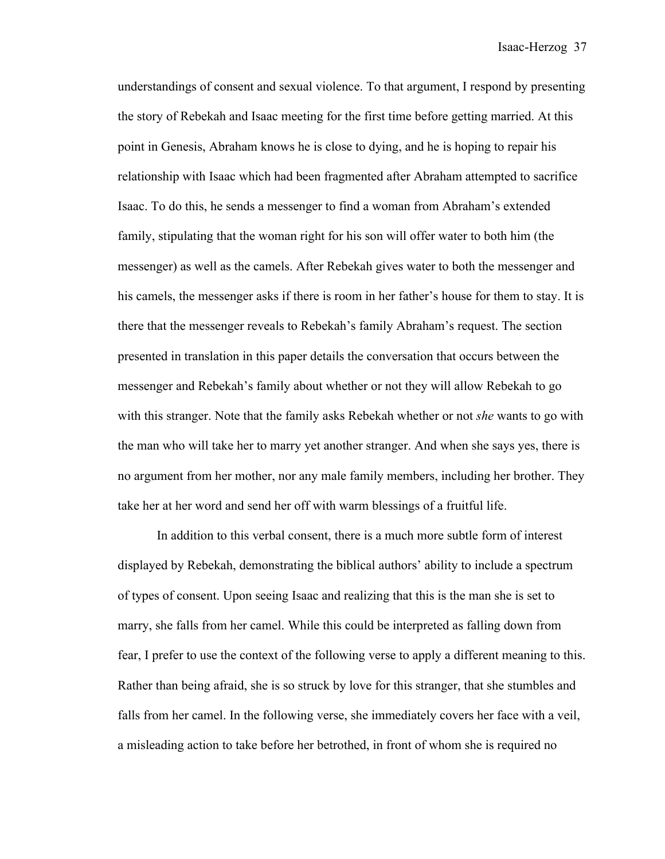understandings of consent and sexual violence. To that argument, I respond by presenting the story of Rebekah and Isaac meeting for the first time before getting married. At this point in Genesis, Abraham knows he is close to dying, and he is hoping to repair his relationship with Isaac which had been fragmented after Abraham attempted to sacrifice Isaac. To do this, he sends a messenger to find a woman from Abraham's extended family, stipulating that the woman right for his son will offer water to both him (the messenger) as well as the camels. After Rebekah gives water to both the messenger and his camels, the messenger asks if there is room in her father's house for them to stay. It is there that the messenger reveals to Rebekah's family Abraham's request. The section presented in translation in this paper details the conversation that occurs between the messenger and Rebekah's family about whether or not they will allow Rebekah to go with this stranger. Note that the family asks Rebekah whether or not *she* wants to go with the man who will take her to marry yet another stranger. And when she says yes, there is no argument from her mother, nor any male family members, including her brother. They take her at her word and send her off with warm blessings of a fruitful life.

In addition to this verbal consent, there is a much more subtle form of interest displayed by Rebekah, demonstrating the biblical authors' ability to include a spectrum of types of consent. Upon seeing Isaac and realizing that this is the man she is set to marry, she falls from her camel. While this could be interpreted as falling down from fear, I prefer to use the context of the following verse to apply a different meaning to this. Rather than being afraid, she is so struck by love for this stranger, that she stumbles and falls from her camel. In the following verse, she immediately covers her face with a veil, a misleading action to take before her betrothed, in front of whom she is required no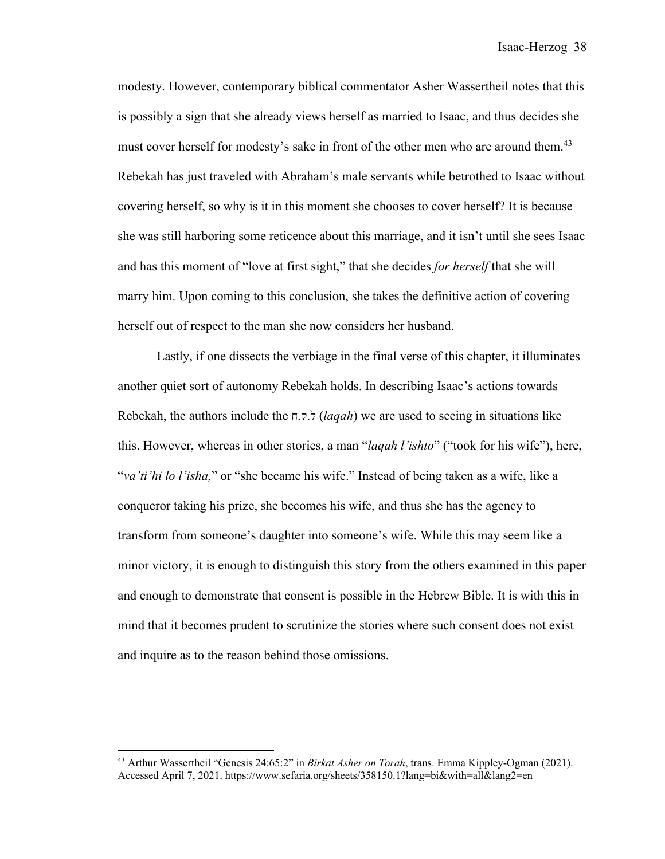modesty. However, contemporary biblical commentator Asher Wassertheil notes that this is possibly a sign that she already views herself as married to Isaac, and thus decides she must cover herself for modesty's sake in front of the other men who are around them.<sup>43</sup> Rebekah has just traveled with Abraham's male servants while betrothed to Isaac without covering herself, so why is it in this moment she chooses to cover herself? It is because she was still harboring some reticence about this marriage, and it isn't until she sees Isaac and has this moment of "love at first sight," that she decides *for herself* that she will marry him. Upon coming to this conclusion, she takes the definitive action of covering herself out of respect to the man she now considers her husband.

Lastly, if one dissects the verbiage in the final verse of this chapter, it illuminates another quiet sort of autonomy Rebekah holds. In describing Isaac's actions towards Rebekah, the authors include the  $\pi$ ,  $\tau$ , *laqah*) we are used to seeing in situations like this. However, whereas in other stories, a man "*laqah l'ishto*" ("took for his wife"), here, "*va'ti'hi lo l'isha,*" or "she became his wife." Instead of being taken as a wife, like a conqueror taking his prize, she becomes his wife, and thus she has the agency to transform from someone's daughter into someone's wife. While this may seem like a minor victory, it is enough to distinguish this story from the others examined in this paper and enough to demonstrate that consent is possible in the Hebrew Bible. It is with this in mind that it becomes prudent to scrutinize the stories where such consent does not exist and inquire as to the reason behind those omissions.

<sup>43</sup> Arthur Wassertheil "Genesis 24:65:2" in *Birkat Asher on Torah*, trans. Emma Kippley-Ogman (2021). Accessed April 7, 2021. https://www.sefaria.org/sheets/358150.1?lang=bi&with=all&lang2=en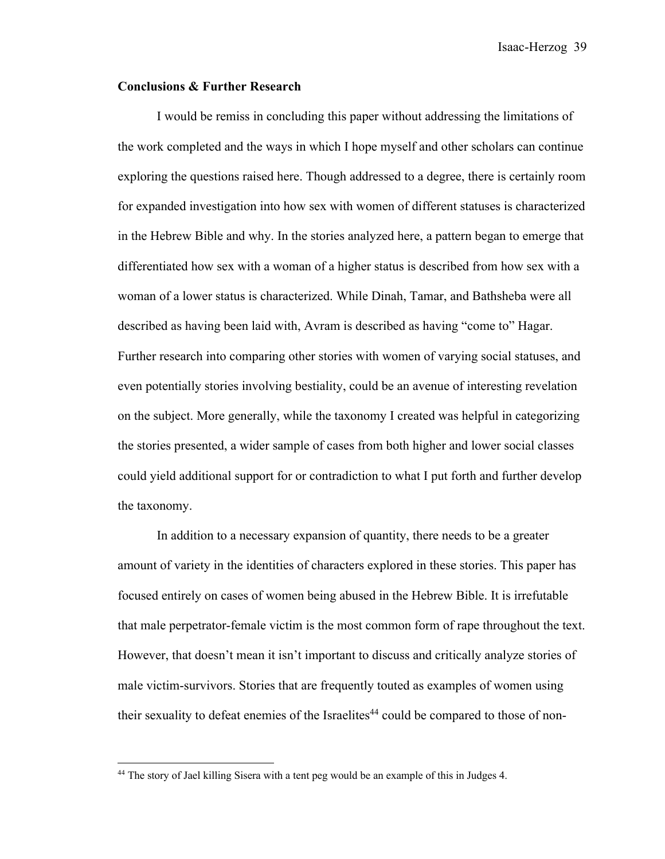Isaac-Herzog 39

#### **Conclusions & Further Research**

I would be remiss in concluding this paper without addressing the limitations of the work completed and the ways in which I hope myself and other scholars can continue exploring the questions raised here. Though addressed to a degree, there is certainly room for expanded investigation into how sex with women of different statuses is characterized in the Hebrew Bible and why. In the stories analyzed here, a pattern began to emerge that differentiated how sex with a woman of a higher status is described from how sex with a woman of a lower status is characterized. While Dinah, Tamar, and Bathsheba were all described as having been laid with, Avram is described as having "come to" Hagar. Further research into comparing other stories with women of varying social statuses, and even potentially stories involving bestiality, could be an avenue of interesting revelation on the subject. More generally, while the taxonomy I created was helpful in categorizing the stories presented, a wider sample of cases from both higher and lower social classes could yield additional support for or contradiction to what I put forth and further develop the taxonomy.

In addition to a necessary expansion of quantity, there needs to be a greater amount of variety in the identities of characters explored in these stories. This paper has focused entirely on cases of women being abused in the Hebrew Bible. It is irrefutable that male perpetrator-female victim is the most common form of rape throughout the text. However, that doesn't mean it isn't important to discuss and critically analyze stories of male victim-survivors. Stories that are frequently touted as examples of women using their sexuality to defeat enemies of the Israelites<sup>44</sup> could be compared to those of non-

<sup>&</sup>lt;sup>44</sup> The story of Jael killing Sisera with a tent peg would be an example of this in Judges 4.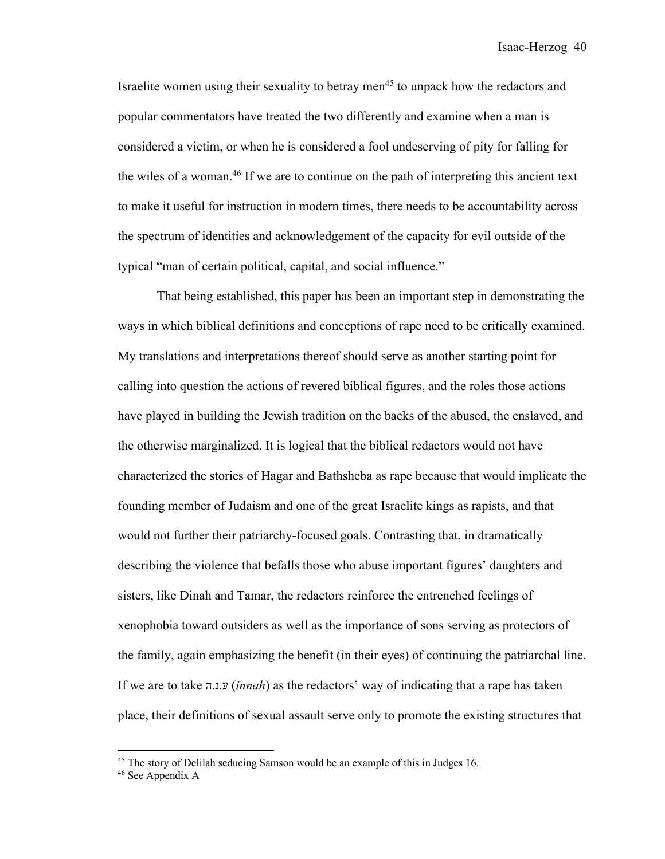Israelite women using their sexuality to betray men<sup>45</sup> to unpack how the redactors and popular commentators have treated the two differently and examine when a man is considered a victim, or when he is considered a fool undeserving of pity for falling for the wiles of a woman.46 If we are to continue on the path of interpreting this ancient text to make it useful for instruction in modern times, there needs to be accountability across the spectrum of identities and acknowledgement of the capacity for evil outside of the typical "man of certain political, capital, and social influence."

That being established, this paper has been an important step in demonstrating the ways in which biblical definitions and conceptions of rape need to be critically examined. My translations and interpretations thereof should serve as another starting point for calling into question the actions of revered biblical figures, and the roles those actions have played in building the Jewish tradition on the backs of the abused, the enslaved, and the otherwise marginalized. It is logical that the biblical redactors would not have characterized the stories of Hagar and Bathsheba as rape because that would implicate the founding member of Judaism and one of the great Israelite kings as rapists, and that would not further their patriarchy-focused goals. Contrasting that, in dramatically describing the violence that befalls those who abuse important figures' daughters and sisters, like Dinah and Tamar, the redactors reinforce the entrenched feelings of xenophobia toward outsiders as well as the importance of sons serving as protectors of the family, again emphasizing the benefit (in their eyes) of continuing the patriarchal line. If we are to take ה. ע.נ) *innah*) as the redactors' way of indicating that a rape has taken place, their definitions of sexual assault serve only to promote the existing structures that

<sup>&</sup>lt;sup>45</sup> The story of Delilah seducing Samson would be an example of this in Judges 16.

<sup>&</sup>lt;sup>46</sup> See Appendix A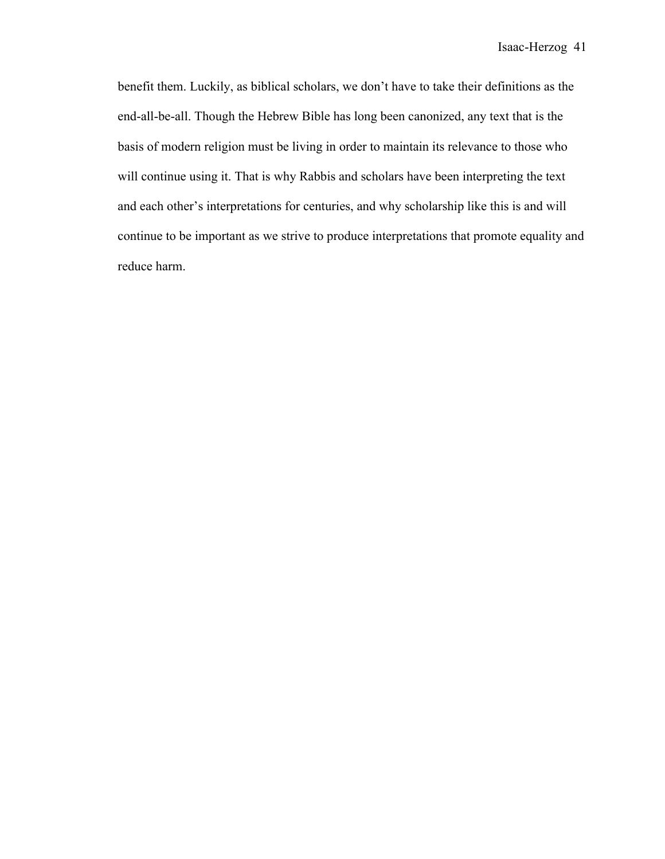benefit them. Luckily, as biblical scholars, we don't have to take their definitions as the end-all-be-all. Though the Hebrew Bible has long been canonized, any text that is the basis of modern religion must be living in order to maintain its relevance to those who will continue using it. That is why Rabbis and scholars have been interpreting the text and each other's interpretations for centuries, and why scholarship like this is and will continue to be important as we strive to produce interpretations that promote equality and reduce harm.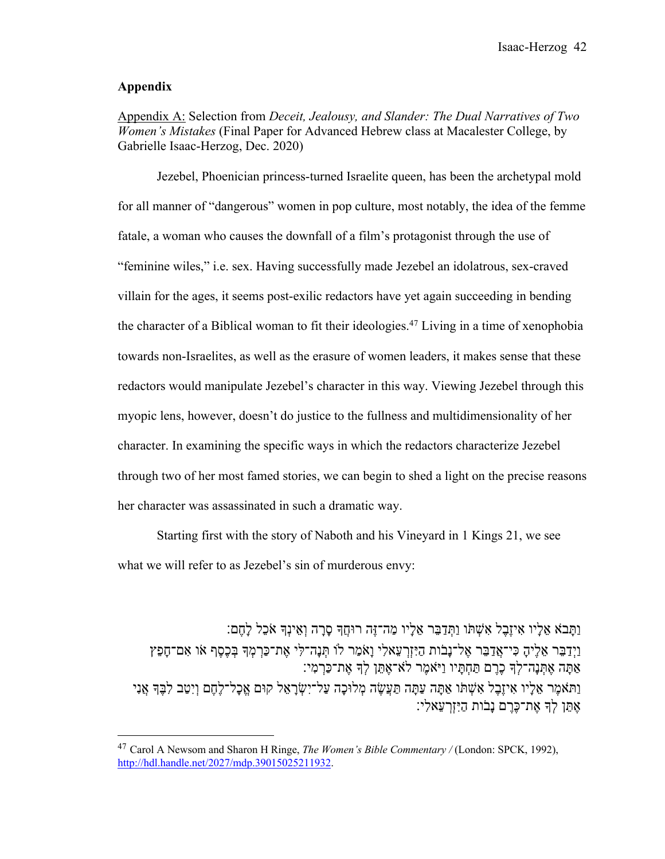### **Appendix**

Appendix A: Selection from *Deceit, Jealousy, and Slander: The Dual Narratives of Two Women's Mistakes* (Final Paper for Advanced Hebrew class at Macalester College, by Gabrielle Isaac-Herzog, Dec. 2020)

Jezebel, Phoenician princess-turned Israelite queen, has been the archetypal mold for all manner of "dangerous" women in pop culture, most notably, the idea of the femme fatale, a woman who causes the downfall of a film's protagonist through the use of "feminine wiles," i.e. sex. Having successfully made Jezebel an idolatrous, sex-craved villain for the ages, it seems post-exilic redactors have yet again succeeding in bending the character of a Biblical woman to fit their ideologies.<sup>47</sup> Living in a time of xenophobia towards non-Israelites, as well as the erasure of women leaders, it makes sense that these redactors would manipulate Jezebel's character in this way. Viewing Jezebel through this myopic lens, however, doesn't do justice to the fullness and multidimensionality of her character. In examining the specific ways in which the redactors characterize Jezebel through two of her most famed stories, we can begin to shed a light on the precise reasons her character was assassinated in such a dramatic way.

Starting first with the story of Naboth and his Vineyard in 1 Kings 21, we see what we will refer to as Jezebel's sin of murderous envy:

ֿוַתַּבֹא אֶלֵיו אִיזֶבֶל אִשְׁתּו וַתְּדַבֶּר אֶלֵיו מַה־זֶּה רוּחֵדְּ סַרַה וְאֵינִדְ אֹכֶל לַחֵם ַוַיִּדַבֵּר אֱלִיהָ כִּי־אֲדַבֵּר אֱל־נַבות הַיִּזְרְעָאלִי וַאֹמַר לוֹ תְּנַה־לִּי אֶת־כַּרְמְדְּ בִּכֶסֶף או אִם־חַפֶּץ ְאִתְּנָה־לְךָ כֶרֶם תַּחְתָּיו וַיֹּאמֶר לֹא־אֶתֵּן לִךְ אֶת־כַּרְמִי: ָכוּלְמ הֶשֲׂעַתּ הָתַּע הָתַּא וֹתְּשִׁא לֶבֶזיִא ויָלֵא רֶמאֹתַּו יִנֲא ;ֶבִּל בַטִיְו םֶחֶל־לָכֱא םוּק לֵאָרְשִׂי־לַע ה ָאתּו לִדְ את־כּרם נִבות הַיִּזְרעַאלי:

<sup>47</sup> Carol A Newsom and Sharon H Ringe, *The Women's Bible Commentary /* (London: SPCK, 1992), http://hdl.handle.net/2027/mdp.39015025211932.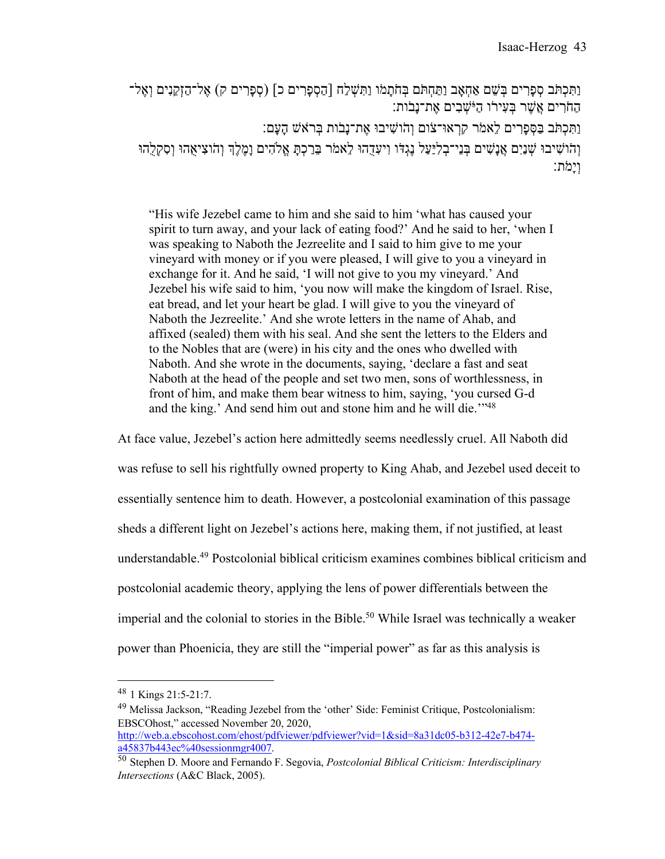[תִּכְתֹּב סְפַרִים בִּשֶׁם אַחָאֲב וַתַּחָתֹּם בְּחֹתַמֹו וַתְּשָׁלַח [הַסְפַרִים כ] (סְפַרִים ק) אֱל־הַזְקֵנִים וְאֶל־ ֿהַחֹרִים אֱשֶׁר בְּעָירו הַיֹּשָׁבִים אֱת־נַבֹּוֹתָ וַתְּכְתֹּב בַּסְפָרִים לֵאמֹר קִרְאוּ־צֹוֹם וְהֹוֹשִׁיבוּ אֶת־נָבֹוֹת בִּרֹאִשׁ הַעַּם: וְהֹוֹשִׁיבוּ שְׁנַיִם אֲנַשִׁים בְּנֵי־בְלִיַעַל נֵגְדֹּו וְיעָדָהוּ לֵאמֹר בֵּרַכְתַּ אֱלֹהִים וַמֶּלֵךְ וְהֹוצִיאָהוּ וְסָקָלָהוּ וָיַמֹּת:

"His wife Jezebel came to him and she said to him 'what has caused your spirit to turn away, and your lack of eating food?' And he said to her, 'when I was speaking to Naboth the Jezreelite and I said to him give to me your vineyard with money or if you were pleased, I will give to you a vineyard in exchange for it. And he said, 'I will not give to you my vineyard.' And Jezebel his wife said to him, 'you now will make the kingdom of Israel. Rise, eat bread, and let your heart be glad. I will give to you the vineyard of Naboth the Jezreelite.' And she wrote letters in the name of Ahab, and affixed (sealed) them with his seal. And she sent the letters to the Elders and to the Nobles that are (were) in his city and the ones who dwelled with Naboth. And she wrote in the documents, saying, 'declare a fast and seat Naboth at the head of the people and set two men, sons of worthlessness, in front of him, and make them bear witness to him, saying, 'you cursed G-d and the king.' And send him out and stone him and he will die.''<sup>48</sup>

At face value, Jezebel's action here admittedly seems needlessly cruel. All Naboth did was refuse to sell his rightfully owned property to King Ahab, and Jezebel used deceit to essentially sentence him to death. However, a postcolonial examination of this passage sheds a different light on Jezebel's actions here, making them, if not justified, at least understandable.49 Postcolonial biblical criticism examines combines biblical criticism and postcolonial academic theory, applying the lens of power differentials between the imperial and the colonial to stories in the Bible. <sup>50</sup> While Israel was technically a weaker power than Phoenicia, they are still the "imperial power" as far as this analysis is

<sup>48</sup> 1 Kings 21:5-21:7.

<sup>49</sup> Melissa Jackson, "Reading Jezebel from the 'other' Side: Feminist Critique, Postcolonialism: EBSCOhost," accessed November 20, 2020, http://web.a.ebscohost.com/ehost/pdfviewer/pdfviewer?vid=1&sid=8a31dc05-b312-42e7-b474-

a45837b443ec%40sessionmgr4007.

<sup>50</sup> Stephen D. Moore and Fernando F. Segovia, *Postcolonial Biblical Criticism: Interdisciplinary Intersections* (A&C Black, 2005).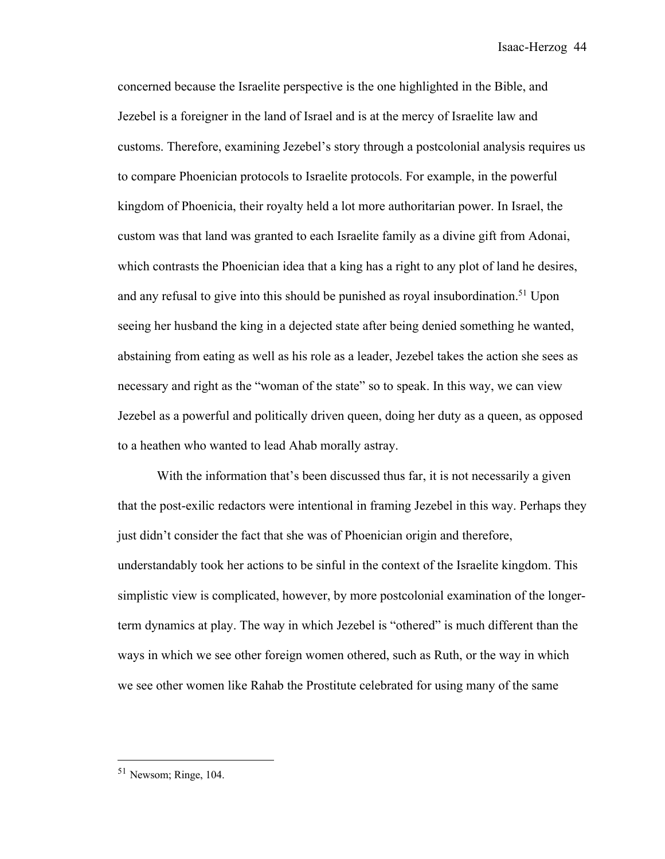concerned because the Israelite perspective is the one highlighted in the Bible, and Jezebel is a foreigner in the land of Israel and is at the mercy of Israelite law and customs. Therefore, examining Jezebel's story through a postcolonial analysis requires us to compare Phoenician protocols to Israelite protocols. For example, in the powerful kingdom of Phoenicia, their royalty held a lot more authoritarian power. In Israel, the custom was that land was granted to each Israelite family as a divine gift from Adonai, which contrasts the Phoenician idea that a king has a right to any plot of land he desires, and any refusal to give into this should be punished as royal insubordination.<sup>51</sup> Upon seeing her husband the king in a dejected state after being denied something he wanted, abstaining from eating as well as his role as a leader, Jezebel takes the action she sees as necessary and right as the "woman of the state" so to speak. In this way, we can view Jezebel as a powerful and politically driven queen, doing her duty as a queen, as opposed to a heathen who wanted to lead Ahab morally astray.

With the information that's been discussed thus far, it is not necessarily a given that the post-exilic redactors were intentional in framing Jezebel in this way. Perhaps they just didn't consider the fact that she was of Phoenician origin and therefore, understandably took her actions to be sinful in the context of the Israelite kingdom. This simplistic view is complicated, however, by more postcolonial examination of the longerterm dynamics at play. The way in which Jezebel is "othered" is much different than the ways in which we see other foreign women othered, such as Ruth, or the way in which we see other women like Rahab the Prostitute celebrated for using many of the same

<sup>51</sup> Newsom; Ringe, 104.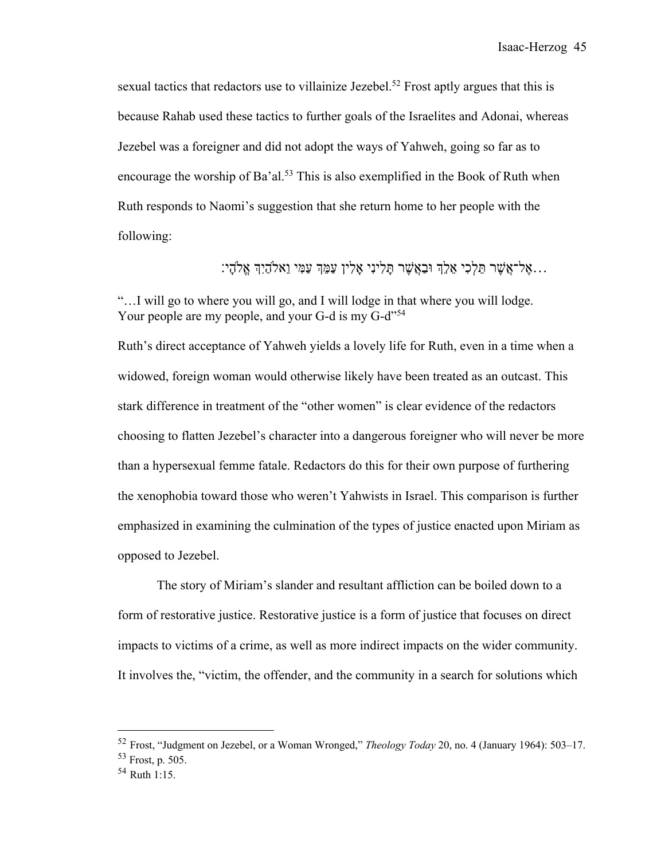sexual tactics that redactors use to villainize Jezebel.<sup>52</sup> Frost aptly argues that this is because Rahab used these tactics to further goals of the Israelites and Adonai, whereas Jezebel was a foreigner and did not adopt the ways of Yahweh, going so far as to encourage the worship of Ba'al.<sup>53</sup> This is also exemplified in the Book of Ruth when Ruth responds to Naomi's suggestion that she return home to her people with the following:

... אֵל־אֵשֶׁר תֵּלְכִי אֵלְךְ וּבַאֲשֶׁר תַּלִינִי אָלִין עַמֵּךְ עַמִּי וֵאלֹהָיִךְ אֵלֹהָי:

"…I will go to where you will go, and I will lodge in that where you will lodge. Your people are my people, and your G-d is my G-d"<sup>54</sup>

Ruth's direct acceptance of Yahweh yields a lovely life for Ruth, even in a time when a widowed, foreign woman would otherwise likely have been treated as an outcast. This stark difference in treatment of the "other women" is clear evidence of the redactors choosing to flatten Jezebel's character into a dangerous foreigner who will never be more than a hypersexual femme fatale. Redactors do this for their own purpose of furthering the xenophobia toward those who weren't Yahwists in Israel. This comparison is further emphasized in examining the culmination of the types of justice enacted upon Miriam as opposed to Jezebel.

The story of Miriam's slander and resultant affliction can be boiled down to a form of restorative justice. Restorative justice is a form of justice that focuses on direct impacts to victims of a crime, as well as more indirect impacts on the wider community. It involves the, "victim, the offender, and the community in a search for solutions which

<sup>52</sup> Frost, "Judgment on Jezebel, or a Woman Wronged," *Theology Today* 20, no. 4 (January 1964): 503–17.

<sup>53</sup> Frost, p. 505.

<sup>54</sup> Ruth 1:15.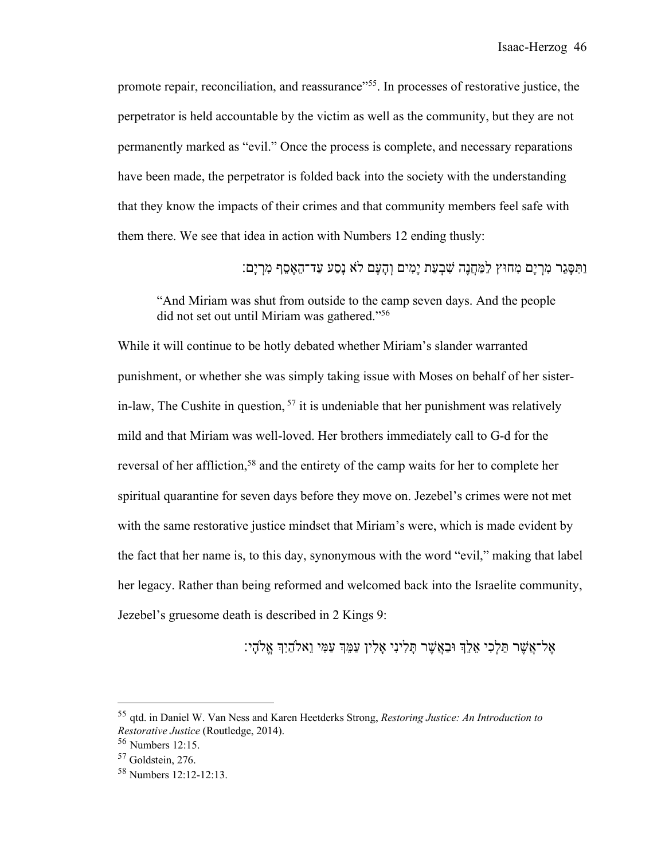promote repair, reconciliation, and reassurance"<sup>55</sup>. In processes of restorative justice, the perpetrator is held accountable by the victim as well as the community, but they are not permanently marked as "evil." Once the process is complete, and necessary reparations have been made, the perpetrator is folded back into the society with the understanding that they know the impacts of their crimes and that community members feel safe with them there. We see that idea in action with Numbers 12 ending thusly:

ַוְתִּסָּגֵר מִרְיָם מְחוּץ לַמַּחֲנֵה שִׁבְעַת יָמִים וְהָעָם לֹא נָסַע עַד־הָאֲסֶף מִרְיַם:

"And Miriam was shut from outside to the camp seven days. And the people did not set out until Miriam was gathered."56

While it will continue to be hotly debated whether Miriam's slander warranted punishment, or whether she was simply taking issue with Moses on behalf of her sisterin-law, The Cushite in question,  $57$  it is undeniable that her punishment was relatively mild and that Miriam was well-loved. Her brothers immediately call to G-d for the reversal of her affliction,<sup>58</sup> and the entirety of the camp waits for her to complete her spiritual quarantine for seven days before they move on. Jezebel's crimes were not met with the same restorative justice mindset that Miriam's were, which is made evident by the fact that her name is, to this day, synonymous with the word "evil," making that label her legacy. Rather than being reformed and welcomed back into the Israelite community, Jezebel's gruesome death is described in 2 Kings 9:

יִנִילִי הָעֲמִי הַאֲלֶה וּבָאֲשֶׁר תַּלִינִי אַלְין עַמֵּהְ עַמִּי וֵאלֹהָיָהָ אֱלֹהֵי:

<sup>55</sup> qtd. in Daniel W. Van Ness and Karen Heetderks Strong, *Restoring Justice: An Introduction to Restorative Justice* (Routledge, 2014).

<sup>56</sup> Numbers 12:15.

<sup>57</sup> Goldstein, 276.

<sup>58</sup> Numbers 12:12-12:13.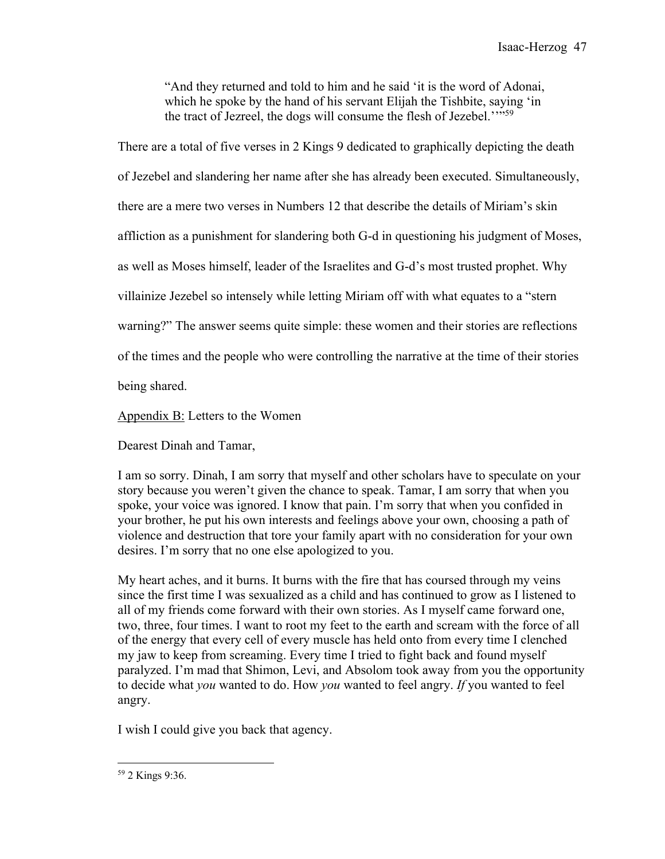"And they returned and told to him and he said 'it is the word of Adonai, which he spoke by the hand of his servant Elijah the Tishbite, saying 'in the tract of Jezreel, the dogs will consume the flesh of Jezebel.''"59

There are a total of five verses in 2 Kings 9 dedicated to graphically depicting the death

of Jezebel and slandering her name after she has already been executed. Simultaneously,

there are a mere two verses in Numbers 12 that describe the details of Miriam's skin

affliction as a punishment for slandering both G-d in questioning his judgment of Moses,

as well as Moses himself, leader of the Israelites and G-d's most trusted prophet. Why

villainize Jezebel so intensely while letting Miriam off with what equates to a "stern

warning?" The answer seems quite simple: these women and their stories are reflections

of the times and the people who were controlling the narrative at the time of their stories

being shared.

Appendix B: Letters to the Women

Dearest Dinah and Tamar,

I am so sorry. Dinah, I am sorry that myself and other scholars have to speculate on your story because you weren't given the chance to speak. Tamar, I am sorry that when you spoke, your voice was ignored. I know that pain. I'm sorry that when you confided in your brother, he put his own interests and feelings above your own, choosing a path of violence and destruction that tore your family apart with no consideration for your own desires. I'm sorry that no one else apologized to you.

My heart aches, and it burns. It burns with the fire that has coursed through my veins since the first time I was sexualized as a child and has continued to grow as I listened to all of my friends come forward with their own stories. As I myself came forward one, two, three, four times. I want to root my feet to the earth and scream with the force of all of the energy that every cell of every muscle has held onto from every time I clenched my jaw to keep from screaming. Every time I tried to fight back and found myself paralyzed. I'm mad that Shimon, Levi, and Absolom took away from you the opportunity to decide what *you* wanted to do. How *you* wanted to feel angry. *If* you wanted to feel angry.

I wish I could give you back that agency.

<sup>59</sup> 2 Kings 9:36.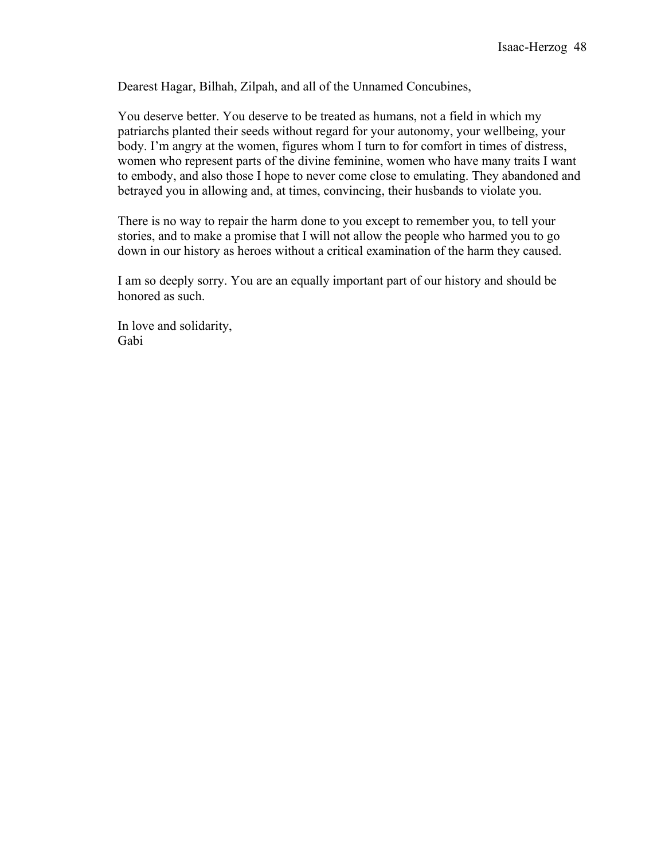Dearest Hagar, Bilhah, Zilpah, and all of the Unnamed Concubines,

You deserve better. You deserve to be treated as humans, not a field in which my patriarchs planted their seeds without regard for your autonomy, your wellbeing, your body. I'm angry at the women, figures whom I turn to for comfort in times of distress, women who represent parts of the divine feminine, women who have many traits I want to embody, and also those I hope to never come close to emulating. They abandoned and betrayed you in allowing and, at times, convincing, their husbands to violate you.

There is no way to repair the harm done to you except to remember you, to tell your stories, and to make a promise that I will not allow the people who harmed you to go down in our history as heroes without a critical examination of the harm they caused.

I am so deeply sorry. You are an equally important part of our history and should be honored as such.

In love and solidarity, Gabi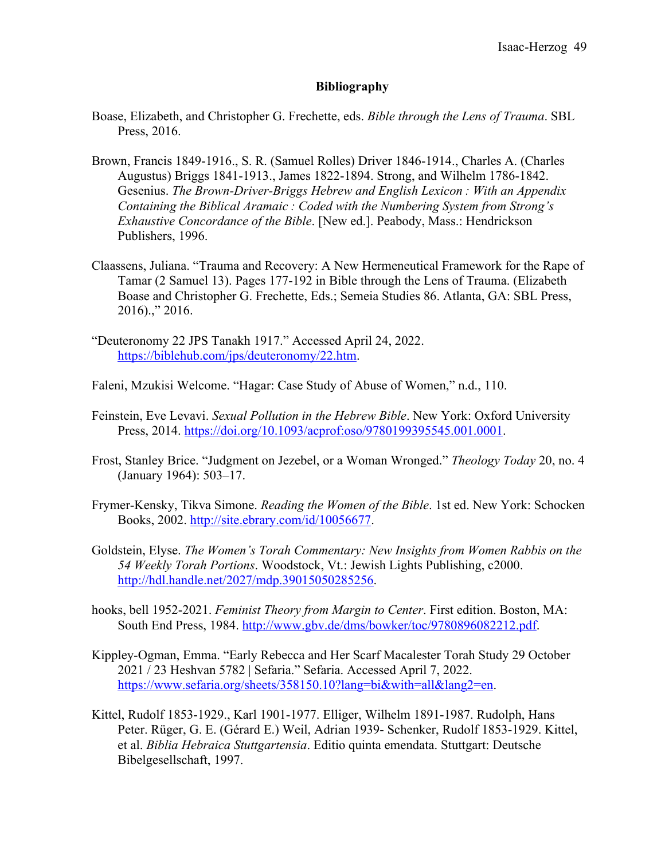#### **Bibliography**

- Boase, Elizabeth, and Christopher G. Frechette, eds. *Bible through the Lens of Trauma*. SBL Press, 2016.
- Brown, Francis 1849-1916., S. R. (Samuel Rolles) Driver 1846-1914., Charles A. (Charles Augustus) Briggs 1841-1913., James 1822-1894. Strong, and Wilhelm 1786-1842. Gesenius. *The Brown-Driver-Briggs Hebrew and English Lexicon : With an Appendix Containing the Biblical Aramaic : Coded with the Numbering System from Strong's Exhaustive Concordance of the Bible*. [New ed.]. Peabody, Mass.: Hendrickson Publishers, 1996.
- Claassens, Juliana. "Trauma and Recovery: A New Hermeneutical Framework for the Rape of Tamar (2 Samuel 13). Pages 177-192 in Bible through the Lens of Trauma. (Elizabeth Boase and Christopher G. Frechette, Eds.; Semeia Studies 86. Atlanta, GA: SBL Press, 2016).," 2016.
- "Deuteronomy 22 JPS Tanakh 1917." Accessed April 24, 2022. https://biblehub.com/jps/deuteronomy/22.htm.
- Faleni, Mzukisi Welcome. "Hagar: Case Study of Abuse of Women," n.d., 110.
- Feinstein, Eve Levavi. *Sexual Pollution in the Hebrew Bible*. New York: Oxford University Press, 2014. https://doi.org/10.1093/acprof:oso/9780199395545.001.0001.
- Frost, Stanley Brice. "Judgment on Jezebel, or a Woman Wronged." *Theology Today* 20, no. 4 (January 1964): 503–17.
- Frymer-Kensky, Tikva Simone. *Reading the Women of the Bible*. 1st ed. New York: Schocken Books, 2002. http://site.ebrary.com/id/10056677.
- Goldstein, Elyse. *The Women's Torah Commentary: New Insights from Women Rabbis on the 54 Weekly Torah Portions*. Woodstock, Vt.: Jewish Lights Publishing, c2000. http://hdl.handle.net/2027/mdp.39015050285256.
- hooks, bell 1952-2021. *Feminist Theory from Margin to Center*. First edition. Boston, MA: South End Press, 1984. http://www.gbv.de/dms/bowker/toc/9780896082212.pdf.
- Kippley-Ogman, Emma. "Early Rebecca and Her Scarf Macalester Torah Study 29 October 2021 / 23 Heshvan 5782 | Sefaria." Sefaria. Accessed April 7, 2022. https://www.sefaria.org/sheets/358150.10?lang=bi&with=all&lang2=en.
- Kittel, Rudolf 1853-1929., Karl 1901-1977. Elliger, Wilhelm 1891-1987. Rudolph, Hans Peter. Rüger, G. E. (Gérard E.) Weil, Adrian 1939- Schenker, Rudolf 1853-1929. Kittel, et al. *Biblia Hebraica Stuttgartensia*. Editio quinta emendata. Stuttgart: Deutsche Bibelgesellschaft, 1997.